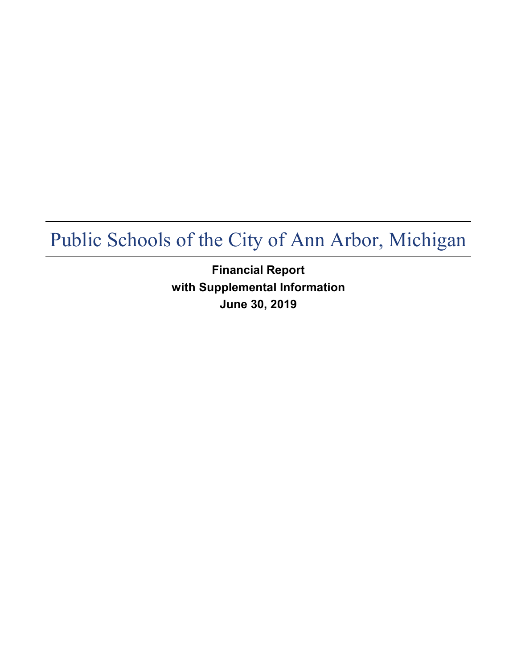**Financial Report with Supplemental Information June 30, 2019**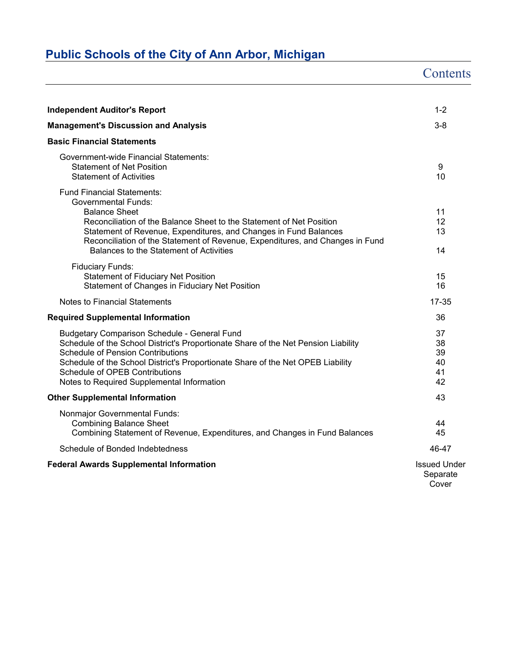|                                                                                                                                                                                                                                                                                                                                                                 | Contents                                 |
|-----------------------------------------------------------------------------------------------------------------------------------------------------------------------------------------------------------------------------------------------------------------------------------------------------------------------------------------------------------------|------------------------------------------|
|                                                                                                                                                                                                                                                                                                                                                                 |                                          |
| <b>Independent Auditor's Report</b>                                                                                                                                                                                                                                                                                                                             | $1 - 2$                                  |
| <b>Management's Discussion and Analysis</b>                                                                                                                                                                                                                                                                                                                     | $3 - 8$                                  |
| <b>Basic Financial Statements</b>                                                                                                                                                                                                                                                                                                                               |                                          |
| <b>Government-wide Financial Statements:</b><br><b>Statement of Net Position</b><br><b>Statement of Activities</b>                                                                                                                                                                                                                                              | 9<br>10                                  |
| <b>Fund Financial Statements:</b><br><b>Governmental Funds:</b><br><b>Balance Sheet</b><br>Reconciliation of the Balance Sheet to the Statement of Net Position<br>Statement of Revenue, Expenditures, and Changes in Fund Balances<br>Reconciliation of the Statement of Revenue, Expenditures, and Changes in Fund<br>Balances to the Statement of Activities | 11<br>12<br>13<br>14                     |
| <b>Fiduciary Funds:</b><br><b>Statement of Fiduciary Net Position</b><br>Statement of Changes in Fiduciary Net Position                                                                                                                                                                                                                                         | 15<br>16                                 |
| Notes to Financial Statements                                                                                                                                                                                                                                                                                                                                   | 17-35                                    |
| <b>Required Supplemental Information</b>                                                                                                                                                                                                                                                                                                                        | 36                                       |
| <b>Budgetary Comparison Schedule - General Fund</b><br>Schedule of the School District's Proportionate Share of the Net Pension Liability<br><b>Schedule of Pension Contributions</b><br>Schedule of the School District's Proportionate Share of the Net OPEB Liability<br>Schedule of OPEB Contributions<br>Notes to Required Supplemental Information        | 37<br>38<br>39<br>40<br>41<br>42         |
| <b>Other Supplemental Information</b>                                                                                                                                                                                                                                                                                                                           | 43                                       |
| Nonmajor Governmental Funds:<br><b>Combining Balance Sheet</b><br>Combining Statement of Revenue, Expenditures, and Changes in Fund Balances                                                                                                                                                                                                                    | 44<br>45                                 |
| Schedule of Bonded Indebtedness                                                                                                                                                                                                                                                                                                                                 | 46-47                                    |
| <b>Federal Awards Supplemental Information</b>                                                                                                                                                                                                                                                                                                                  | <b>Issued Under</b><br>Separate<br>Cover |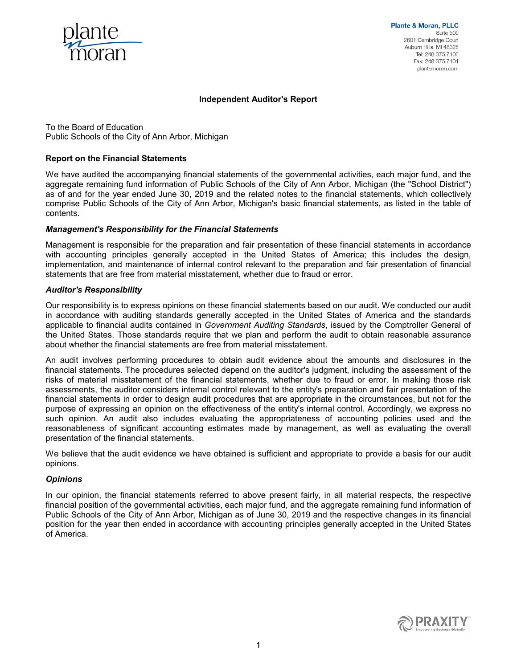

#### **Independent Auditor's Report**

To the Board of Education Public Schools of the City of Ann Arbor, Michigan

#### **Report on the Financial Statements**

We have audited the accompanying financial statements of the governmental activities, each major fund, and the aggregate remaining fund information of Public Schools of the City of Ann Arbor, Michigan (the "School District") as of and for the year ended June 30, 2019 and the related notes to the financial statements, which collectively comprise Public Schools of the City of Ann Arbor, Michigan's basic financial statements, as listed in the table of contents.

#### *Management's Responsibility for the Financial Statements*

Management is responsible for the preparation and fair presentation of these financial statements in accordance with accounting principles generally accepted in the United States of America; this includes the design, implementation, and maintenance of internal control relevant to the preparation and fair presentation of financial statements that are free from material misstatement, whether due to fraud or error.

#### *Auditor's Responsibility*

Our responsibility is to express opinions on these financial statements based on our audit. We conducted our audit in accordance with auditing standards generally accepted in the United States of America and the standards applicable to financial audits contained in *Government Auditing Standards*, issued by the Comptroller General of the United States. Those standards require that we plan and perform the audit to obtain reasonable assurance about whether the financial statements are free from material misstatement.

An audit involves performing procedures to obtain audit evidence about the amounts and disclosures in the financial statements. The procedures selected depend on the auditor's judgment, including the assessment of the risks of material misstatement of the financial statements, whether due to fraud or error. In making those risk assessments, the auditor considers internal control relevant to the entity's preparation and fair presentation of the financial statements in order to design audit procedures that are appropriate in the circumstances, but not for the purpose of expressing an opinion on the effectiveness of the entity's internal control. Accordingly, we express no such opinion. An audit also includes evaluating the appropriateness of accounting policies used and the reasonableness of significant accounting estimates made by management, as well as evaluating the overall presentation of the financial statements.

We believe that the audit evidence we have obtained is sufficient and appropriate to provide a basis for our audit opinions.

#### *Opinions*

In our opinion, the financial statements referred to above present fairly, in all material respects, the respective financial position of the governmental activities, each major fund, and the aggregate remaining fund information of Public Schools of the City of Ann Arbor, Michigan as of June 30, 2019 and the respective changes in its financial position for the year then ended in accordance with accounting principles generally accepted in the United States of America.

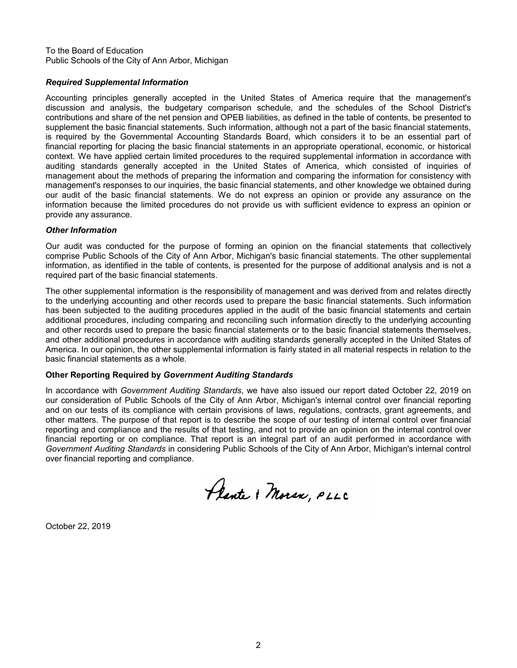To the Board of Education Public Schools of the City of Ann Arbor, Michigan

### *Required Supplemental Information*

Accounting principles generally accepted in the United States of America require that the management's discussion and analysis, the budgetary comparison schedule, and the schedules of the School District's contributions and share of the net pension and OPEB liabilities, as defined in the table of contents, be presented to supplement the basic financial statements. Such information, although not a part of the basic financial statements, is required by the Governmental Accounting Standards Board, which considers it to be an essential part of financial reporting for placing the basic financial statements in an appropriate operational, economic, or historical context. We have applied certain limited procedures to the required supplemental information in accordance with auditing standards generally accepted in the United States of America, which consisted of inquiries of management about the methods of preparing the information and comparing the information for consistency with management's responses to our inquiries, the basic financial statements, and other knowledge we obtained during our audit of the basic financial statements. We do not express an opinion or provide any assurance on the information because the limited procedures do not provide us with sufficient evidence to express an opinion or provide any assurance.

#### *Other Information*

Our audit was conducted for the purpose of forming an opinion on the financial statements that collectively comprise Public Schools of the City of Ann Arbor, Michigan's basic financial statements. The other supplemental information, as identified in the table of contents, is presented for the purpose of additional analysis and is not a required part of the basic financial statements.

The other supplemental information is the responsibility of management and was derived from and relates directly to the underlying accounting and other records used to prepare the basic financial statements. Such information has been subjected to the auditing procedures applied in the audit of the basic financial statements and certain additional procedures, including comparing and reconciling such information directly to the underlying accounting and other records used to prepare the basic financial statements or to the basic financial statements themselves, and other additional procedures in accordance with auditing standards generally accepted in the United States of America. In our opinion, the other supplemental information is fairly stated in all material respects in relation to the basic financial statements as a whole.

#### **Other Reporting Required by** *Government Auditing Standards*

In accordance with *Government Auditing Standards*, we have also issued our report dated October 22, 2019 on our consideration of Public Schools of the City of Ann Arbor, Michigan's internal control over financial reporting and on our tests of its compliance with certain provisions of laws, regulations, contracts, grant agreements, and other matters. The purpose of that report is to describe the scope of our testing of internal control over financial reporting and compliance and the results of that testing, and not to provide an opinion on the internal control over financial reporting or on compliance. That report is an integral part of an audit performed in accordance with *Government Auditing Standards* in considering Public Schools of the City of Ann Arbor, Michigan's internal control over financial reporting and compliance.

Plante & Moran, PLLC

October 22, 2019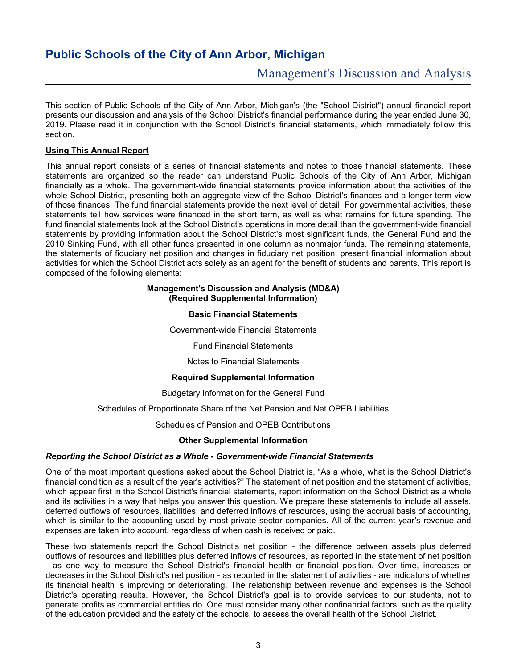# Management's Discussion and Analysis

This section of Public Schools of the City of Ann Arbor, Michigan's (the "School District") annual financial report presents our discussion and analysis of the School District's financial performance during the year ended June 30, 2019. Please read it in conjunction with the School District's financial statements, which immediately follow this section.

### **Using This Annual Report**

This annual report consists of a series of financial statements and notes to those financial statements. These statements are organized so the reader can understand Public Schools of the City of Ann Arbor, Michigan financially as a whole. The government-wide financial statements provide information about the activities of the whole School District, presenting both an aggregate view of the School District's finances and a longer-term view of those finances. The fund financial statements provide the next level of detail. For governmental activities, these statements tell how services were financed in the short term, as well as what remains for future spending. The fund financial statements look at the School District's operations in more detail than the government-wide financial statements by providing information about the School District's most significant funds, the General Fund and the 2010 Sinking Fund, with all other funds presented in one column as nonmajor funds. The remaining statements, the statements of fiduciary net position and changes in fiduciary net position, present financial information about activities for which the School District acts solely as an agent for the benefit of students and parents. This report is composed of the following elements:

#### **Management's Discussion and Analysis (MD&A) (Required Supplemental Information)**

### **Basic Financial Statements**

Government-wide Financial Statements

Fund Financial Statements

Notes to Financial Statements

#### **Required Supplemental Information**

Budgetary Information for the General Fund

Schedules of Proportionate Share of the Net Pension and Net OPEB Liabilities

Schedules of Pension and OPEB Contributions

### **Other Supplemental Information**

#### *Reporting the School District as a Whole - Government-wide Financial Statements*

One of the most important questions asked about the School District is, "As a whole, what is the School District's financial condition as a result of the year's activities?" The statement of net position and the statement of activities, which appear first in the School District's financial statements, report information on the School District as a whole and its activities in a way that helps you answer this question. We prepare these statements to include all assets, deferred outflows of resources, liabilities, and deferred inflows of resources, using the accrual basis of accounting, which is similar to the accounting used by most private sector companies. All of the current year's revenue and expenses are taken into account, regardless of when cash is received or paid.

These two statements report the School District's net position - the difference between assets plus deferred outflows of resources and liabilities plus deferred inflows of resources, as reported in the statement of net position - as one way to measure the School District's financial health or financial position. Over time, increases or decreases in the School District's net position - as reported in the statement of activities - are indicators of whether its financial health is improving or deteriorating. The relationship between revenue and expenses is the School District's operating results. However, the School District's goal is to provide services to our students, not to generate profits as commercial entities do. One must consider many other nonfinancial factors, such as the quality of the education provided and the safety of the schools, to assess the overall health of the School District.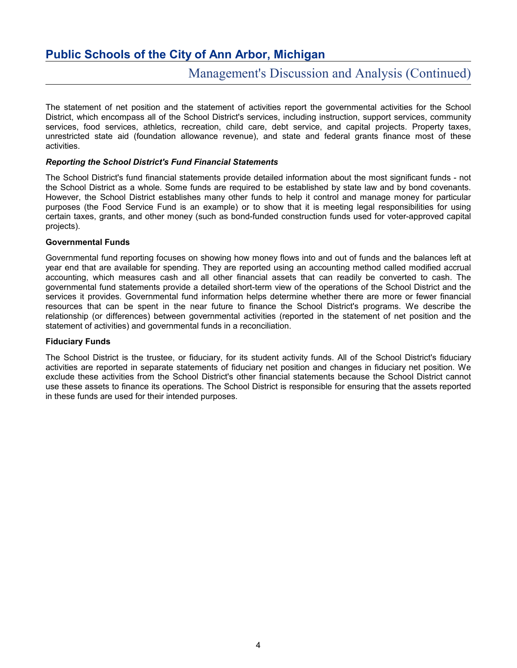# Management's Discussion and Analysis (Continued)

The statement of net position and the statement of activities report the governmental activities for the School District, which encompass all of the School District's services, including instruction, support services, community services, food services, athletics, recreation, child care, debt service, and capital projects. Property taxes, unrestricted state aid (foundation allowance revenue), and state and federal grants finance most of these activities.

#### *Reporting the School District's Fund Financial Statements*

The School District's fund financial statements provide detailed information about the most significant funds - not the School District as a whole. Some funds are required to be established by state law and by bond covenants. However, the School District establishes many other funds to help it control and manage money for particular purposes (the Food Service Fund is an example) or to show that it is meeting legal responsibilities for using certain taxes, grants, and other money (such as bond-funded construction funds used for voter-approved capital projects).

#### **Governmental Funds**

Governmental fund reporting focuses on showing how money flows into and out of funds and the balances left at year end that are available for spending. They are reported using an accounting method called modified accrual accounting, which measures cash and all other financial assets that can readily be converted to cash. The governmental fund statements provide a detailed short-term view of the operations of the School District and the services it provides. Governmental fund information helps determine whether there are more or fewer financial resources that can be spent in the near future to finance the School District's programs. We describe the relationship (or differences) between governmental activities (reported in the statement of net position and the statement of activities) and governmental funds in a reconciliation.

#### **Fiduciary Funds**

The School District is the trustee, or fiduciary, for its student activity funds. All of the School District's fiduciary activities are reported in separate statements of fiduciary net position and changes in fiduciary net position. We exclude these activities from the School District's other financial statements because the School District cannot use these assets to finance its operations. The School District is responsible for ensuring that the assets reported in these funds are used for their intended purposes.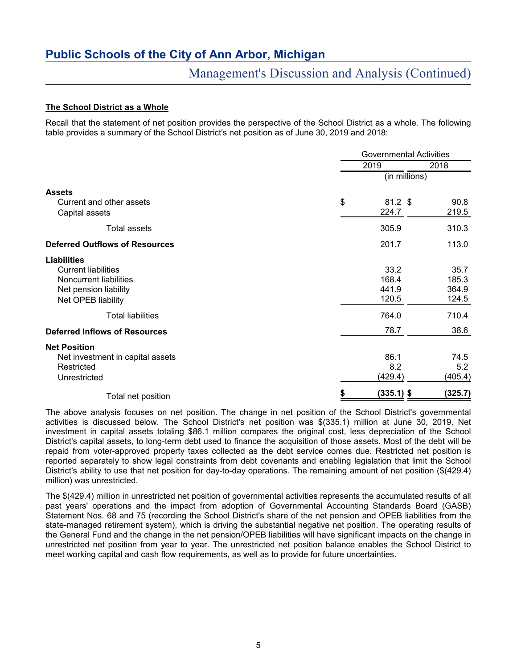# Management's Discussion and Analysis (Continued)

### **The School District as a Whole**

Recall that the statement of net position provides the perspective of the School District as a whole. The following table provides a summary of the School District's net position as of June 30, 2019 and 2018:

|                                       | Governmental Activities |         |  |  |  |
|---------------------------------------|-------------------------|---------|--|--|--|
|                                       | 2019                    | 2018    |  |  |  |
|                                       | (in millions)           |         |  |  |  |
| <b>Assets</b>                         |                         |         |  |  |  |
| Current and other assets              | \$<br>$81.2$ \$         | 90.8    |  |  |  |
| Capital assets                        | 224.7                   | 219.5   |  |  |  |
| <b>Total assets</b>                   | 305.9                   | 310.3   |  |  |  |
| <b>Deferred Outflows of Resources</b> | 201.7                   | 113.0   |  |  |  |
| <b>Liabilities</b>                    |                         |         |  |  |  |
| <b>Current liabilities</b>            | 33.2                    | 35.7    |  |  |  |
| Noncurrent liabilities                | 168.4                   | 185.3   |  |  |  |
| Net pension liability                 | 441.9                   | 364.9   |  |  |  |
| Net OPEB liability                    | 120.5                   | 124.5   |  |  |  |
| <b>Total liabilities</b>              | 764.0                   | 710.4   |  |  |  |
| <b>Deferred Inflows of Resources</b>  | 78.7                    | 38.6    |  |  |  |
| <b>Net Position</b>                   |                         |         |  |  |  |
| Net investment in capital assets      | 86.1                    | 74.5    |  |  |  |
| Restricted                            | 8.2                     | 5.2     |  |  |  |
| Unrestricted                          | (429.4)                 | (405.4) |  |  |  |
| Total net position                    | \$<br>(335.1) \$        | (325.7) |  |  |  |

The above analysis focuses on net position. The change in net position of the School District's governmental activities is discussed below. The School District's net position was \$(335.1) million at June 30, 2019. Net investment in capital assets totaling \$86.1 million compares the original cost, less depreciation of the School District's capital assets, to long-term debt used to finance the acquisition of those assets. Most of the debt will be repaid from voter-approved property taxes collected as the debt service comes due. Restricted net position is reported separately to show legal constraints from debt covenants and enabling legislation that limit the School District's ability to use that net position for day-to-day operations. The remaining amount of net position (\$(429.4) million) was unrestricted.

The \$(429.4) million in unrestricted net position of governmental activities represents the accumulated results of all past years' operations and the impact from adoption of Governmental Accounting Standards Board (GASB) Statement Nos. 68 and 75 (recording the School District's share of the net pension and OPEB liabilities from the state-managed retirement system), which is driving the substantial negative net position. The operating results of the General Fund and the change in the net pension/OPEB liabilities will have significant impacts on the change in unrestricted net position from year to year. The unrestricted net position balance enables the School District to meet working capital and cash flow requirements, as well as to provide for future uncertainties.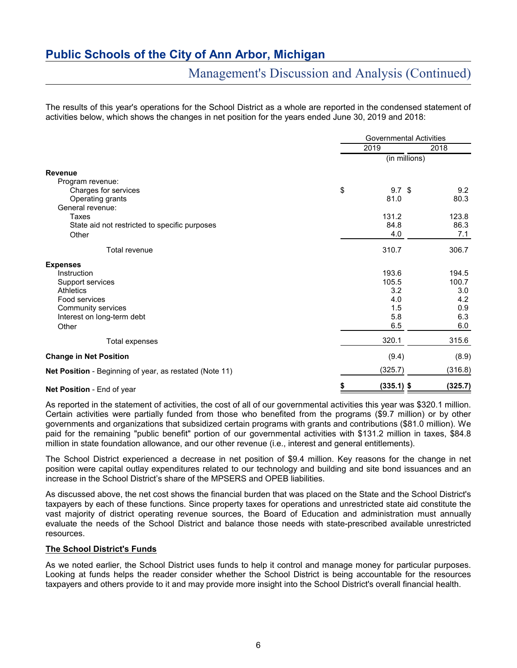# Management's Discussion and Analysis (Continued)

The results of this year's operations for the School District as a whole are reported in the condensed statement of activities below, which shows the changes in net position for the years ended June 30, 2019 and 2018:

|                                                         |    | <b>Governmental Activities</b> |         |  |  |
|---------------------------------------------------------|----|--------------------------------|---------|--|--|
|                                                         |    | 2019                           | 2018    |  |  |
|                                                         |    | (in millions)                  |         |  |  |
| <b>Revenue</b>                                          |    |                                |         |  |  |
| Program revenue:                                        |    |                                |         |  |  |
| Charges for services                                    | \$ | 9.7 <sup>°</sup>               | 9.2     |  |  |
| Operating grants                                        |    | 81.0                           | 80.3    |  |  |
| General revenue:                                        |    |                                |         |  |  |
| Taxes                                                   |    | 131.2                          | 123.8   |  |  |
| State aid not restricted to specific purposes           |    | 84.8                           | 86.3    |  |  |
| Other                                                   |    | 4.0                            | 7.1     |  |  |
| Total revenue                                           |    | 310.7                          | 306.7   |  |  |
| <b>Expenses</b>                                         |    |                                |         |  |  |
| Instruction                                             |    | 193.6                          | 194.5   |  |  |
| Support services                                        |    | 105.5                          | 100.7   |  |  |
| <b>Athletics</b>                                        |    | 3.2                            | 3.0     |  |  |
| Food services                                           |    | 4.0                            | 4.2     |  |  |
| Community services                                      |    | 1.5                            | 0.9     |  |  |
| Interest on long-term debt                              |    | 5.8                            | 6.3     |  |  |
| Other                                                   |    | 6.5                            | 6.0     |  |  |
| <b>Total expenses</b>                                   |    | 320.1                          | 315.6   |  |  |
| <b>Change in Net Position</b>                           |    | (9.4)                          | (8.9)   |  |  |
| Net Position - Beginning of year, as restated (Note 11) |    | (325.7)                        | (316.8) |  |  |
| Net Position - End of year                              | S  | $(335.1)$ \$                   | (325.7) |  |  |

As reported in the statement of activities, the cost of all of our governmental activities this year was \$320.1 million. Certain activities were partially funded from those who benefited from the programs (\$9.7 million) or by other governments and organizations that subsidized certain programs with grants and contributions (\$81.0 million). We paid for the remaining "public benefit" portion of our governmental activities with \$131.2 million in taxes, \$84.8 million in state foundation allowance, and our other revenue (i.e., interest and general entitlements).

The School District experienced a decrease in net position of \$9.4 million. Key reasons for the change in net position were capital outlay expenditures related to our technology and building and site bond issuances and an increase in the School District's share of the MPSERS and OPEB liabilities.

As discussed above, the net cost shows the financial burden that was placed on the State and the School District's taxpayers by each of these functions. Since property taxes for operations and unrestricted state aid constitute the vast majority of district operating revenue sources, the Board of Education and administration must annually evaluate the needs of the School District and balance those needs with state-prescribed available unrestricted resources.

### **The School District's Funds**

As we noted earlier, the School District uses funds to help it control and manage money for particular purposes. Looking at funds helps the reader consider whether the School District is being accountable for the resources taxpayers and others provide to it and may provide more insight into the School District's overall financial health.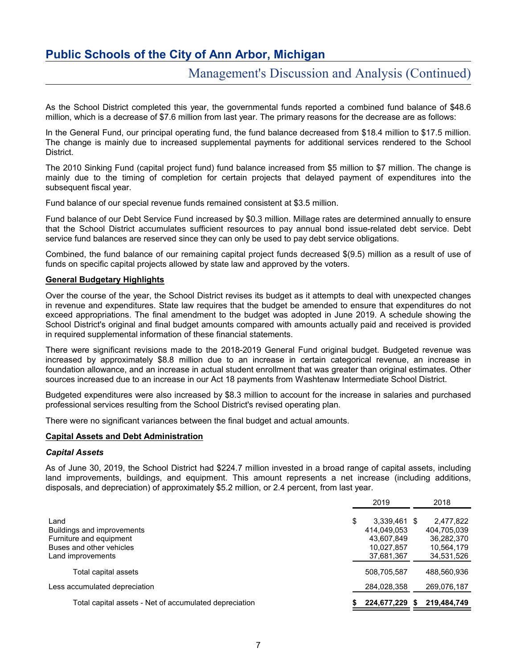# Management's Discussion and Analysis (Continued)

As the School District completed this year, the governmental funds reported a combined fund balance of \$48.6 million, which is a decrease of \$7.6 million from last year. The primary reasons for the decrease are as follows:

In the General Fund, our principal operating fund, the fund balance decreased from \$18.4 million to \$17.5 million. The change is mainly due to increased supplemental payments for additional services rendered to the School District.

The 2010 Sinking Fund (capital project fund) fund balance increased from \$5 million to \$7 million. The change is mainly due to the timing of completion for certain projects that delayed payment of expenditures into the subsequent fiscal year.

Fund balance of our special revenue funds remained consistent at \$3.5 million.

Fund balance of our Debt Service Fund increased by \$0.3 million. Millage rates are determined annually to ensure that the School District accumulates sufficient resources to pay annual bond issue-related debt service. Debt service fund balances are reserved since they can only be used to pay debt service obligations.

Combined, the fund balance of our remaining capital project funds decreased \$(9.5) million as a result of use of funds on specific capital projects allowed by state law and approved by the voters.

#### **General Budgetary Highlights**

Over the course of the year, the School District revises its budget as it attempts to deal with unexpected changes in revenue and expenditures. State law requires that the budget be amended to ensure that expenditures do not exceed appropriations. The final amendment to the budget was adopted in June 2019. A schedule showing the School District's original and final budget amounts compared with amounts actually paid and received is provided in required supplemental information of these financial statements.

There were significant revisions made to the 2018-2019 General Fund original budget. Budgeted revenue was increased by approximately \$8.8 million due to an increase in certain categorical revenue, an increase in foundation allowance, and an increase in actual student enrollment that was greater than original estimates. Other sources increased due to an increase in our Act 18 payments from Washtenaw Intermediate School District.

Budgeted expenditures were also increased by \$8.3 million to account for the increase in salaries and purchased professional services resulting from the School District's revised operating plan.

There were no significant variances between the final budget and actual amounts.

#### **Capital Assets and Debt Administration**

#### *Capital Assets*

As of June 30, 2019, the School District had \$224.7 million invested in a broad range of capital assets, including land improvements, buildings, and equipment. This amount represents a net increase (including additions, disposals, and depreciation) of approximately \$5.2 million, or 2.4 percent, from last year.

|                                                                                                                | 2019                                                                        | 2018                                                               |
|----------------------------------------------------------------------------------------------------------------|-----------------------------------------------------------------------------|--------------------------------------------------------------------|
| Land<br>Buildings and improvements<br>Furniture and equipment<br>Buses and other vehicles<br>Land improvements | \$<br>3,339,461 \$<br>414,049,053<br>43.607.849<br>10.027.857<br>37,681,367 | 2,477,822<br>404,705,039<br>36,282,370<br>10,564,179<br>34,531,526 |
| Total capital assets                                                                                           | 508,705,587                                                                 | 488.560.936                                                        |
| Less accumulated depreciation                                                                                  | 284,028,358                                                                 | 269,076,187                                                        |
| Total capital assets - Net of accumulated depreciation                                                         | 224.677.229                                                                 | 219.484.749                                                        |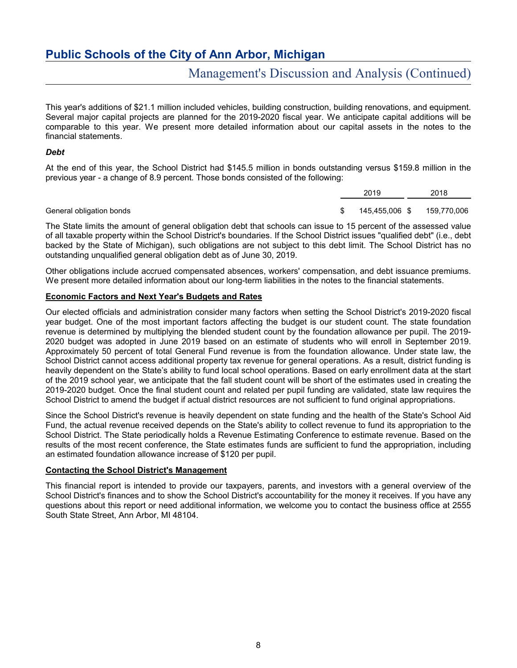# Management's Discussion and Analysis (Continued)

This year's additions of \$21.1 million included vehicles, building construction, building renovations, and equipment. Several major capital projects are planned for the 2019-2020 fiscal year. We anticipate capital additions will be comparable to this year. We present more detailed information about our capital assets in the notes to the financial statements.

### *Debt*

At the end of this year, the School District had \$145.5 million in bonds outstanding versus \$159.8 million in the previous year - a change of 8.9 percent. Those bonds consisted of the following:

|                          | 2019           | 2018        |
|--------------------------|----------------|-------------|
|                          |                |             |
| General obligation bonds | 145,455,006 \$ | 159,770,006 |

The State limits the amount of general obligation debt that schools can issue to 15 percent of the assessed value of all taxable property within the School District's boundaries. If the School District issues "qualified debt" (i.e., debt backed by the State of Michigan), such obligations are not subject to this debt limit. The School District has no outstanding unqualified general obligation debt as of June 30, 2019.

Other obligations include accrued compensated absences, workers' compensation, and debt issuance premiums. We present more detailed information about our long-term liabilities in the notes to the financial statements.

### **Economic Factors and Next Year's Budgets and Rates**

Our elected officials and administration consider many factors when setting the School District's 2019-2020 fiscal year budget. One of the most important factors affecting the budget is our student count. The state foundation revenue is determined by multiplying the blended student count by the foundation allowance per pupil. The 2019- 2020 budget was adopted in June 2019 based on an estimate of students who will enroll in September 2019. Approximately 50 percent of total General Fund revenue is from the foundation allowance. Under state law, the School District cannot access additional property tax revenue for general operations. As a result, district funding is heavily dependent on the State's ability to fund local school operations. Based on early enrollment data at the start of the 2019 school year, we anticipate that the fall student count will be short of the estimates used in creating the 2019-2020 budget. Once the final student count and related per pupil funding are validated, state law requires the School District to amend the budget if actual district resources are not sufficient to fund original appropriations.

Since the School District's revenue is heavily dependent on state funding and the health of the State's School Aid Fund, the actual revenue received depends on the State's ability to collect revenue to fund its appropriation to the School District. The State periodically holds a Revenue Estimating Conference to estimate revenue. Based on the results of the most recent conference, the State estimates funds are sufficient to fund the appropriation, including an estimated foundation allowance increase of \$120 per pupil.

### **Contacting the School District's Management**

This financial report is intended to provide our taxpayers, parents, and investors with a general overview of the School District's finances and to show the School District's accountability for the money it receives. If you have any questions about this report or need additional information, we welcome you to contact the business office at 2555 South State Street, Ann Arbor, MI 48104.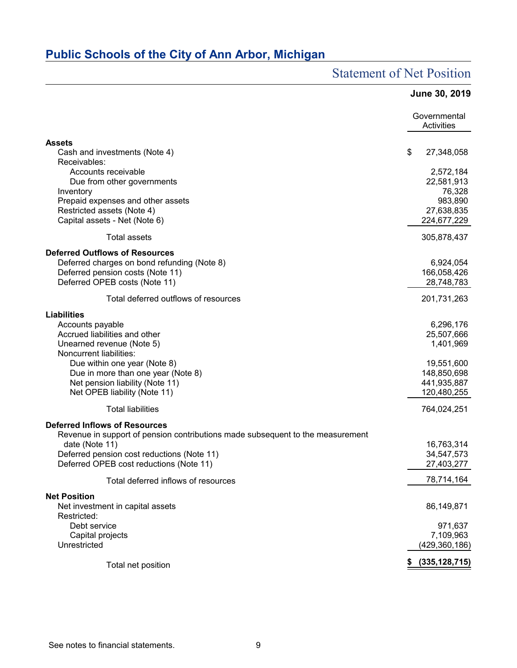# Statement of Net Position

|                                                                                       | <b>June 30, 2019</b>       |
|---------------------------------------------------------------------------------------|----------------------------|
|                                                                                       | Governmental<br>Activities |
| <b>Assets</b>                                                                         |                            |
| Cash and investments (Note 4)                                                         | \$<br>27,348,058           |
| Receivables:<br>Accounts receivable                                                   | 2,572,184                  |
| Due from other governments                                                            | 22,581,913                 |
| Inventory                                                                             | 76,328                     |
| Prepaid expenses and other assets                                                     | 983,890                    |
| Restricted assets (Note 4)                                                            | 27,638,835                 |
| Capital assets - Net (Note 6)                                                         | 224,677,229                |
| <b>Total assets</b>                                                                   | 305,878,437                |
| <b>Deferred Outflows of Resources</b>                                                 |                            |
| Deferred charges on bond refunding (Note 8)                                           | 6,924,054                  |
| Deferred pension costs (Note 11)<br>Deferred OPEB costs (Note 11)                     | 166,058,426<br>28,748,783  |
|                                                                                       |                            |
| Total deferred outflows of resources                                                  | 201,731,263                |
| <b>Liabilities</b>                                                                    |                            |
| Accounts payable                                                                      | 6,296,176                  |
| Accrued liabilities and other<br>Unearned revenue (Note 5)                            | 25,507,666<br>1,401,969    |
| Noncurrent liabilities:                                                               |                            |
| Due within one year (Note 8)                                                          | 19,551,600                 |
| Due in more than one year (Note 8)                                                    | 148,850,698                |
| Net pension liability (Note 11)                                                       | 441,935,887                |
| Net OPEB liability (Note 11)                                                          | 120,480,255                |
| <b>Total liabilities</b>                                                              | 764,024,251                |
| <b>Deferred Inflows of Resources</b>                                                  |                            |
| Revenue in support of pension contributions made subsequent to the measurement        |                            |
| date (Note 11)                                                                        | 16,763,314                 |
| Deferred pension cost reductions (Note 11)<br>Deferred OPEB cost reductions (Note 11) | 34,547,573<br>27,403,277   |
|                                                                                       |                            |
| Total deferred inflows of resources                                                   | 78,714,164                 |
| <b>Net Position</b>                                                                   |                            |
| Net investment in capital assets<br>Restricted:                                       | 86,149,871                 |
| Debt service                                                                          | 971,637                    |
| Capital projects                                                                      | 7,109,963                  |
| Unrestricted                                                                          | (429, 360, 186)            |
| Total net position                                                                    | (335, 128, 715)            |
|                                                                                       |                            |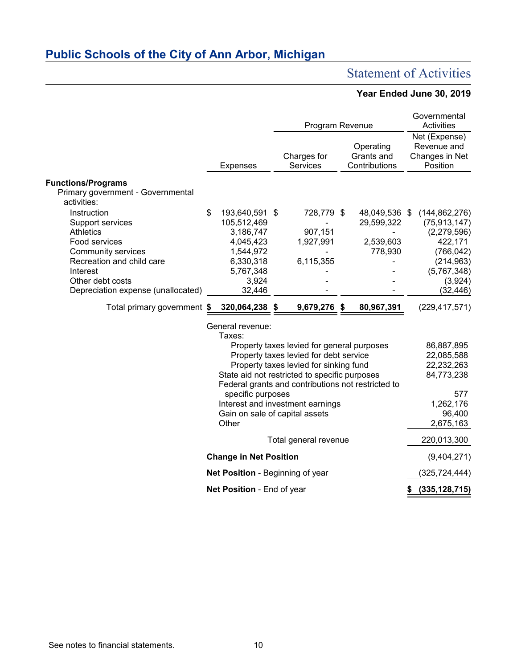# Statement of Activities

# **Year Ended June 30, 2019**

|                                                                                        |                                                                                                                                                                                                                                       |                                                                   | Program Revenue |                                    |  |                                          |  | Governmental<br><b>Activities</b>                           |
|----------------------------------------------------------------------------------------|---------------------------------------------------------------------------------------------------------------------------------------------------------------------------------------------------------------------------------------|-------------------------------------------------------------------|-----------------|------------------------------------|--|------------------------------------------|--|-------------------------------------------------------------|
|                                                                                        |                                                                                                                                                                                                                                       | <b>Expenses</b>                                                   |                 | Charges for<br>Services            |  | Operating<br>Grants and<br>Contributions |  | Net (Expense)<br>Revenue and<br>Changes in Net<br>Position  |
| <b>Functions/Programs</b><br>Primary government - Governmental<br>activities:          |                                                                                                                                                                                                                                       |                                                                   |                 |                                    |  |                                          |  |                                                             |
| Instruction<br>Support services<br><b>Athletics</b><br>Food services                   | \$                                                                                                                                                                                                                                    | 193,640,591 \$<br>105,512,469<br>3,186,747<br>4,045,423           |                 | 728,779 \$<br>907,151<br>1,927,991 |  | 48,049,536 \$<br>29,599,322<br>2,539,603 |  | (144, 862, 276)<br>(75, 913, 147)<br>(2,279,596)<br>422,171 |
| <b>Community services</b><br>Recreation and child care<br>Interest<br>Other debt costs |                                                                                                                                                                                                                                       | 1,544,972<br>6,330,318<br>5,767,348<br>3,924                      |                 | 6,115,355                          |  | 778,930                                  |  | (766, 042)<br>(214, 963)<br>(5,767,348)<br>(3,924)          |
| Depreciation expense (unallocated)<br>Total primary government \$                      |                                                                                                                                                                                                                                       | 32,446<br>320,064,238 \$                                          |                 | 9,679,276 \$                       |  | 80,967,391                               |  | (32, 446)<br>(229, 417, 571)                                |
|                                                                                        |                                                                                                                                                                                                                                       | General revenue:<br>Taxes:                                        |                 |                                    |  |                                          |  |                                                             |
|                                                                                        | Property taxes levied for general purposes<br>Property taxes levied for debt service<br>Property taxes levied for sinking fund<br>State aid not restricted to specific purposes<br>Federal grants and contributions not restricted to |                                                                   |                 |                                    |  |                                          |  | 86,887,895<br>22,085,588<br>22,232,263<br>84,773,238        |
|                                                                                        | specific purposes<br>Interest and investment earnings<br>Gain on sale of capital assets<br>Other                                                                                                                                      |                                                                   |                 |                                    |  |                                          |  | 577<br>1,262,176<br>96,400<br>2,675,163                     |
| Total general revenue                                                                  |                                                                                                                                                                                                                                       |                                                                   |                 |                                    |  |                                          |  | 220,013,300                                                 |
|                                                                                        |                                                                                                                                                                                                                                       | <b>Change in Net Position</b><br>Net Position - Beginning of year |                 |                                    |  |                                          |  | (9,404,271)<br>(325, 724, 444)                              |
|                                                                                        |                                                                                                                                                                                                                                       | Net Position - End of year                                        |                 |                                    |  |                                          |  | (335, 128, 715)                                             |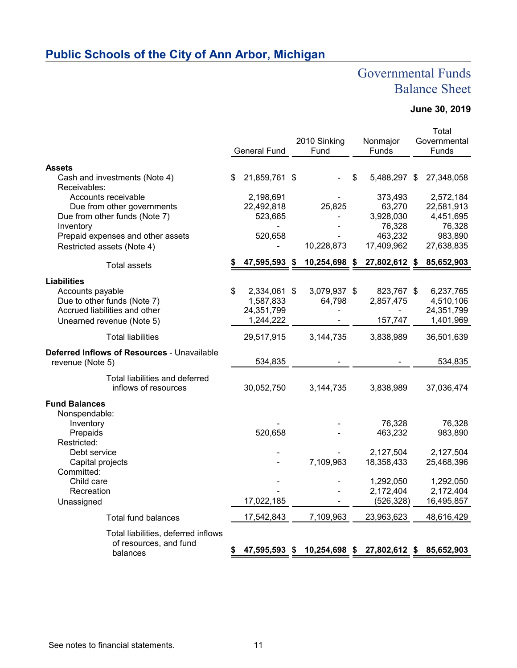# Governmental Funds Balance Sheet

# **June 30, 2019**

|                                                                 | <b>General Fund</b>     | 2010 Sinking<br>Fund | Nonmajor<br>Funds           | Total<br>Governmental<br>Funds |
|-----------------------------------------------------------------|-------------------------|----------------------|-----------------------------|--------------------------------|
| <b>Assets</b>                                                   |                         |                      |                             |                                |
| Cash and investments (Note 4)                                   | \$<br>21,859,761 \$     |                      | \$<br>5,488,297 \$          | 27,348,058                     |
| Receivables:                                                    |                         |                      |                             |                                |
| Accounts receivable                                             | 2,198,691               |                      | 373,493                     | 2,572,184                      |
| Due from other governments<br>Due from other funds (Note 7)     | 22,492,818              | 25,825               | 63,270<br>3,928,030         | 22,581,913<br>4,451,695        |
| Inventory                                                       | 523,665                 |                      | 76,328                      | 76,328                         |
| Prepaid expenses and other assets                               | 520,658                 |                      | 463,232                     | 983,890                        |
| Restricted assets (Note 4)                                      |                         | 10,228,873           | 17,409,962                  | 27,638,835                     |
| <b>Total assets</b>                                             | 47,595,593 \$           | 10,254,698 \$        | 27,802,612 \$               | 85,652,903                     |
|                                                                 |                         |                      |                             |                                |
| <b>Liabilities</b>                                              |                         |                      |                             |                                |
| Accounts payable                                                | \$<br>2,334,061 \$      | 3,079,937 \$         | 823,767 \$                  | 6,237,765                      |
| Due to other funds (Note 7)<br>Accrued liabilities and other    | 1,587,833               | 64,798               | 2,857,475                   | 4,510,106                      |
| Unearned revenue (Note 5)                                       | 24,351,799<br>1,244,222 |                      | 157,747                     | 24,351,799<br>1,401,969        |
|                                                                 |                         |                      |                             |                                |
| <b>Total liabilities</b>                                        | 29,517,915              | 3,144,735            | 3,838,989                   | 36,501,639                     |
| Deferred Inflows of Resources - Unavailable<br>revenue (Note 5) | 534,835                 |                      |                             | 534,835                        |
| Total liabilities and deferred<br>inflows of resources          | 30,052,750              | 3,144,735            | 3,838,989                   | 37,036,474                     |
| <b>Fund Balances</b>                                            |                         |                      |                             |                                |
| Nonspendable:                                                   |                         |                      |                             |                                |
| Inventory                                                       |                         |                      | 76,328                      | 76,328                         |
| Prepaids                                                        | 520,658                 |                      | 463,232                     | 983,890                        |
| Restricted:                                                     |                         |                      |                             |                                |
| Debt service                                                    |                         | 7,109,963            | 2,127,504<br>18,358,433     | 2,127,504                      |
| Capital projects<br>Committed:                                  |                         |                      |                             | 25,468,396                     |
| Child care                                                      |                         |                      | 1,292,050                   | 1,292,050                      |
| Recreation                                                      |                         |                      | 2,172,404                   | 2,172,404                      |
| Unassigned                                                      | 17,022,185              |                      | (526, 328)                  | 16,495,857                     |
| <b>Total fund balances</b>                                      | 17,542,843              | 7,109,963            | 23,963,623                  | 48,616,429                     |
| Total liabilities, deferred inflows                             |                         |                      |                             |                                |
| of resources, and fund                                          |                         |                      |                             |                                |
| balances                                                        | 47,595,593 \$           |                      | 10,254,698 \$ 27,802,612 \$ | 85,652,903                     |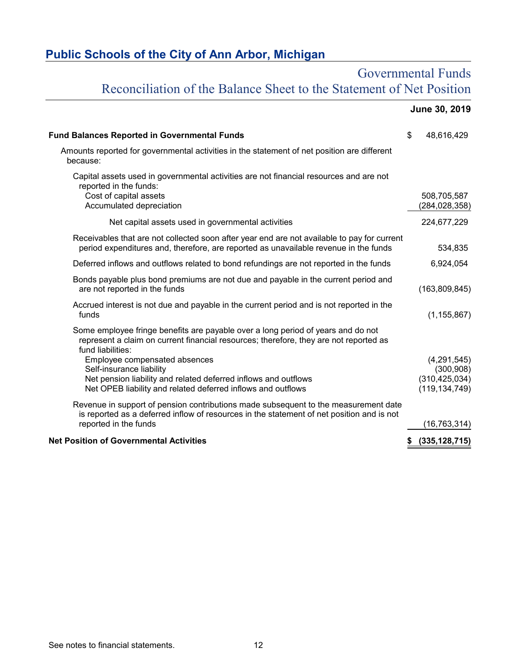# Governmental Funds Reconciliation of the Balance Sheet to the Statement of Net Position

|                                                                                                                                                                                                           | June 30, 2019                                |
|-----------------------------------------------------------------------------------------------------------------------------------------------------------------------------------------------------------|----------------------------------------------|
| <b>Fund Balances Reported in Governmental Funds</b>                                                                                                                                                       | \$<br>48,616,429                             |
| Amounts reported for governmental activities in the statement of net position are different<br>because:                                                                                                   |                                              |
| Capital assets used in governmental activities are not financial resources and are not<br>reported in the funds:<br>Cost of capital assets<br>Accumulated depreciation                                    | 508,705,587<br>(284, 028, 358)               |
| Net capital assets used in governmental activities                                                                                                                                                        | 224,677,229                                  |
| Receivables that are not collected soon after year end are not available to pay for current<br>period expenditures and, therefore, are reported as unavailable revenue in the funds                       | 534,835                                      |
| Deferred inflows and outflows related to bond refundings are not reported in the funds                                                                                                                    | 6,924,054                                    |
| Bonds payable plus bond premiums are not due and payable in the current period and<br>are not reported in the funds                                                                                       | (163,809,845)                                |
| Accrued interest is not due and payable in the current period and is not reported in the<br>funds                                                                                                         | (1, 155, 867)                                |
| Some employee fringe benefits are payable over a long period of years and do not<br>represent a claim on current financial resources; therefore, they are not reported as<br>fund liabilities:            |                                              |
| Employee compensated absences<br>Self-insurance liability<br>Net pension liability and related deferred inflows and outflows                                                                              | (4,291,545)<br>(300, 908)<br>(310, 425, 034) |
| Net OPEB liability and related deferred inflows and outflows                                                                                                                                              | (119, 134, 749)                              |
| Revenue in support of pension contributions made subsequent to the measurement date<br>is reported as a deferred inflow of resources in the statement of net position and is not<br>reported in the funds | (16, 763, 314)                               |
| <b>Net Position of Governmental Activities</b>                                                                                                                                                            | (335, 128, 715)<br>\$                        |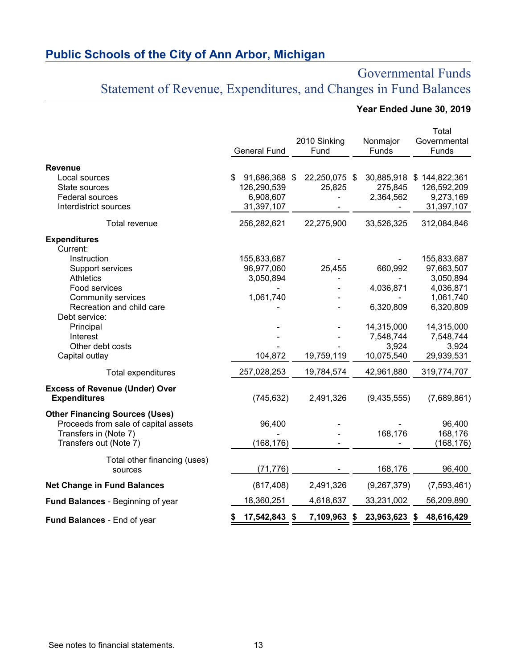# Governmental Funds Statement of Revenue, Expenditures, and Changes in Fund Balances

# **Year Ended June 30, 2019**

|                                                                               | <b>General Fund</b> | 2010 Sinking<br>Fund | Nonmajor<br>Funds | Total<br>Governmental<br>Funds |
|-------------------------------------------------------------------------------|---------------------|----------------------|-------------------|--------------------------------|
| <b>Revenue</b><br>Local sources                                               | 91,686,368 \$<br>\$ | 22,250,075 \$        |                   | 30,885,918 \$144,822,361       |
| State sources                                                                 | 126,290,539         | 25,825               | 275,845           | 126,592,209                    |
| Federal sources                                                               | 6,908,607           |                      | 2,364,562         | 9,273,169                      |
| Interdistrict sources                                                         | 31,397,107          |                      |                   | 31,397,107                     |
| Total revenue                                                                 | 256,282,621         | 22,275,900           | 33,526,325        | 312,084,846                    |
| <b>Expenditures</b>                                                           |                     |                      |                   |                                |
| Current:                                                                      |                     |                      |                   |                                |
| Instruction                                                                   | 155,833,687         |                      |                   | 155,833,687                    |
| Support services                                                              | 96,977,060          | 25,455               | 660,992           | 97,663,507                     |
| <b>Athletics</b><br>Food services                                             | 3,050,894           |                      |                   | 3,050,894                      |
| <b>Community services</b>                                                     | 1,061,740           |                      | 4,036,871         | 4,036,871<br>1,061,740         |
| Recreation and child care                                                     |                     |                      | 6,320,809         | 6,320,809                      |
| Debt service:                                                                 |                     |                      |                   |                                |
| Principal                                                                     |                     |                      | 14,315,000        | 14,315,000                     |
| Interest                                                                      |                     |                      | 7,548,744         | 7,548,744                      |
| Other debt costs                                                              |                     |                      | 3,924             | 3,924                          |
| Capital outlay                                                                | 104,872             | 19,759,119           | 10,075,540        | 29,939,531                     |
| Total expenditures                                                            | 257,028,253         | 19,784,574           | 42,961,880        | 319,774,707                    |
| <b>Excess of Revenue (Under) Over</b><br><b>Expenditures</b>                  | (745, 632)          | 2,491,326            | (9,435,555)       | (7,689,861)                    |
| <b>Other Financing Sources (Uses)</b><br>Proceeds from sale of capital assets | 96,400              |                      |                   | 96,400                         |
| Transfers in (Note 7)                                                         |                     |                      | 168,176           | 168,176                        |
| Transfers out (Note 7)                                                        | (168,176)           |                      |                   | (168, 176)                     |
| Total other financing (uses)<br>sources                                       | (71, 776)           |                      | 168,176           | 96,400                         |
| <b>Net Change in Fund Balances</b>                                            | (817, 408)          | 2,491,326            | (9,267,379)       | (7,593,461)                    |
| Fund Balances - Beginning of year                                             | 18,360,251          | 4,618,637            | 33,231,002        | 56,209,890                     |
| Fund Balances - End of year                                                   | 17,542,843<br>\$    | \$<br>7,109,963 \$   | 23,963,623 \$     | 48,616,429                     |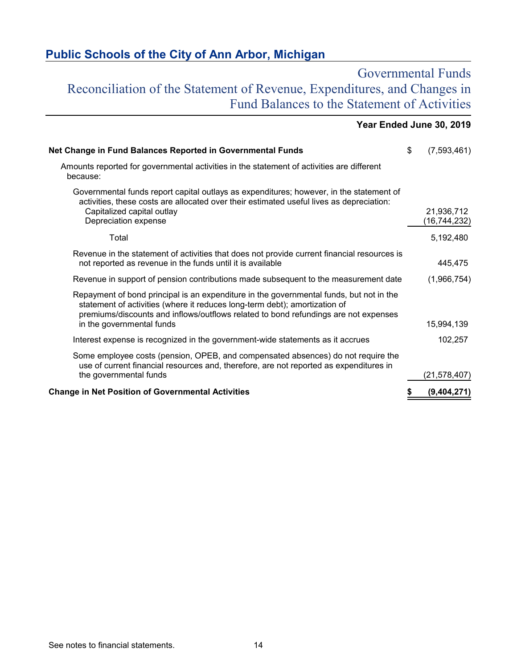# Governmental Funds Reconciliation of the Statement of Revenue, Expenditures, and Changes in Fund Balances to the Statement of Activities

|                                                                                                                                                                                                                                                                                           | Year Ended June 30, 2019     |
|-------------------------------------------------------------------------------------------------------------------------------------------------------------------------------------------------------------------------------------------------------------------------------------------|------------------------------|
| Net Change in Fund Balances Reported in Governmental Funds                                                                                                                                                                                                                                | \$<br>(7,593,461)            |
| Amounts reported for governmental activities in the statement of activities are different<br>because:                                                                                                                                                                                     |                              |
| Governmental funds report capital outlays as expenditures; however, in the statement of<br>activities, these costs are allocated over their estimated useful lives as depreciation:<br>Capitalized capital outlay<br>Depreciation expense                                                 | 21,936,712<br>(16, 744, 232) |
| Total                                                                                                                                                                                                                                                                                     | 5,192,480                    |
| Revenue in the statement of activities that does not provide current financial resources is<br>not reported as revenue in the funds until it is available                                                                                                                                 | 445,475                      |
| Revenue in support of pension contributions made subsequent to the measurement date                                                                                                                                                                                                       | (1,966,754)                  |
| Repayment of bond principal is an expenditure in the governmental funds, but not in the<br>statement of activities (where it reduces long-term debt); amortization of<br>premiums/discounts and inflows/outflows related to bond refundings are not expenses<br>in the governmental funds | 15,994,139                   |
| Interest expense is recognized in the government-wide statements as it accrues                                                                                                                                                                                                            | 102,257                      |
| Some employee costs (pension, OPEB, and compensated absences) do not require the<br>use of current financial resources and, therefore, are not reported as expenditures in<br>the governmental funds                                                                                      | (21,578,407)                 |
| <b>Change in Net Position of Governmental Activities</b>                                                                                                                                                                                                                                  | \$<br>(9,404,271)            |

### See notes to financial statements. 14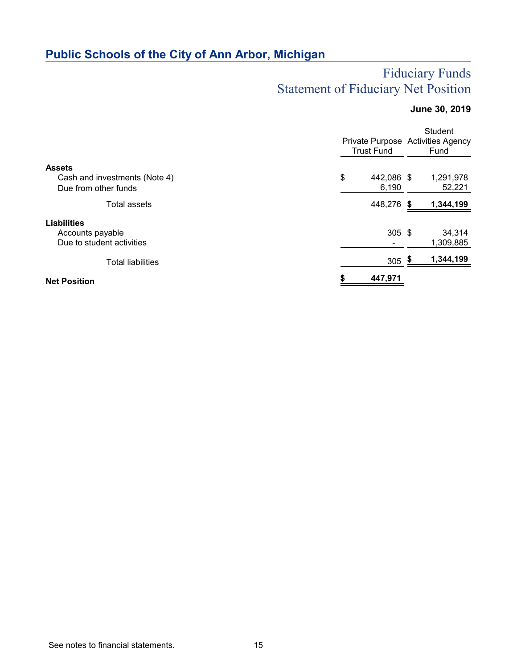# Fiduciary Funds Statement of Fiduciary Net Position

# **June 30, 2019**

|                                                       | <b>Trust Fund</b> |                     |  | Student<br>Private Purpose Activities Agency<br>Fund |  |  |
|-------------------------------------------------------|-------------------|---------------------|--|------------------------------------------------------|--|--|
| <b>Assets</b>                                         |                   |                     |  |                                                      |  |  |
| Cash and investments (Note 4)<br>Due from other funds | \$                | 442,086 \$<br>6,190 |  | 1,291,978<br>52,221                                  |  |  |
| Total assets                                          |                   | 448,276 \$          |  | 1,344,199                                            |  |  |
| <b>Liabilities</b>                                    |                   |                     |  |                                                      |  |  |
| Accounts payable                                      |                   | $305$ \$            |  | 34,314                                               |  |  |
| Due to student activities                             |                   |                     |  | 1,309,885                                            |  |  |
| <b>Total liabilities</b>                              |                   | 305 $\frac{\$}{ }$  |  | 1,344,199                                            |  |  |
| <b>Net Position</b>                                   |                   | 447,971             |  |                                                      |  |  |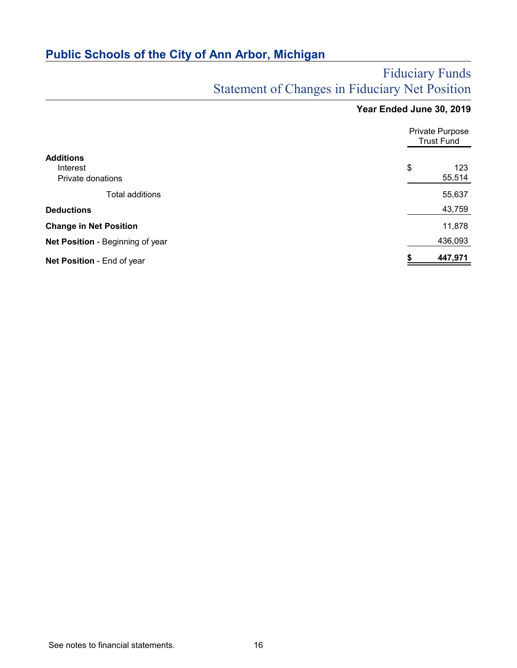# Fiduciary Funds Statement of Changes in Fiduciary Net Position

# **Year Ended June 30, 2019**

|                                  | <b>Private Purpose</b><br><b>Trust Fund</b> |         |  |  |
|----------------------------------|---------------------------------------------|---------|--|--|
| <b>Additions</b>                 |                                             |         |  |  |
| Interest                         | \$                                          | 123     |  |  |
| Private donations                |                                             | 55,514  |  |  |
| Total additions                  |                                             | 55,637  |  |  |
| <b>Deductions</b>                |                                             | 43,759  |  |  |
| <b>Change in Net Position</b>    |                                             | 11,878  |  |  |
| Net Position - Beginning of year |                                             | 436,093 |  |  |
| Net Position - End of year       | \$                                          | 447,971 |  |  |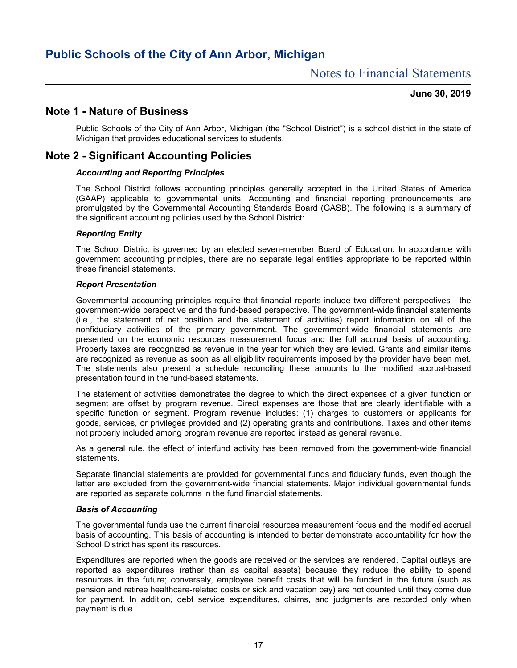### **June 30, 2019**

# **Note 1 - Nature of Business**

Public Schools of the City of Ann Arbor, Michigan (the "School District") is a school district in the state of Michigan that provides educational services to students.

# **Note 2 - Significant Accounting Policies**

### *Accounting and Reporting Principles*

The School District follows accounting principles generally accepted in the United States of America (GAAP) applicable to governmental units. Accounting and financial reporting pronouncements are promulgated by the Governmental Accounting Standards Board (GASB). The following is a summary of the significant accounting policies used by the School District:

### *Reporting Entity*

The School District is governed by an elected seven-member Board of Education. In accordance with government accounting principles, there are no separate legal entities appropriate to be reported within these financial statements.

#### *Report Presentation*

Governmental accounting principles require that financial reports include two different perspectives - the government-wide perspective and the fund-based perspective. The government-wide financial statements (i.e., the statement of net position and the statement of activities) report information on all of the nonfiduciary activities of the primary government. The government-wide financial statements are presented on the economic resources measurement focus and the full accrual basis of accounting. Property taxes are recognized as revenue in the year for which they are levied. Grants and similar items are recognized as revenue as soon as all eligibility requirements imposed by the provider have been met. The statements also present a schedule reconciling these amounts to the modified accrual-based presentation found in the fund-based statements.

The statement of activities demonstrates the degree to which the direct expenses of a given function or segment are offset by program revenue. Direct expenses are those that are clearly identifiable with a specific function or segment. Program revenue includes: (1) charges to customers or applicants for goods, services, or privileges provided and (2) operating grants and contributions. Taxes and other items not properly included among program revenue are reported instead as general revenue.

As a general rule, the effect of interfund activity has been removed from the government-wide financial statements.

Separate financial statements are provided for governmental funds and fiduciary funds, even though the latter are excluded from the government-wide financial statements. Major individual governmental funds are reported as separate columns in the fund financial statements.

#### *Basis of Accounting*

The governmental funds use the current financial resources measurement focus and the modified accrual basis of accounting. This basis of accounting is intended to better demonstrate accountability for how the School District has spent its resources.

Expenditures are reported when the goods are received or the services are rendered. Capital outlays are reported as expenditures (rather than as capital assets) because they reduce the ability to spend resources in the future; conversely, employee benefit costs that will be funded in the future (such as pension and retiree healthcare-related costs or sick and vacation pay) are not counted until they come due for payment. In addition, debt service expenditures, claims, and judgments are recorded only when payment is due.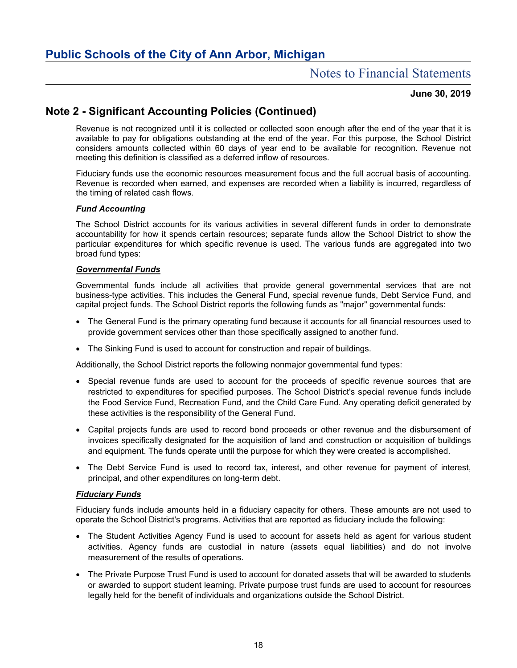### **June 30, 2019**

# **Note 2 - Significant Accounting Policies (Continued)**

Revenue is not recognized until it is collected or collected soon enough after the end of the year that it is available to pay for obligations outstanding at the end of the year. For this purpose, the School District considers amounts collected within 60 days of year end to be available for recognition. Revenue not meeting this definition is classified as a deferred inflow of resources.

Fiduciary funds use the economic resources measurement focus and the full accrual basis of accounting. Revenue is recorded when earned, and expenses are recorded when a liability is incurred, regardless of the timing of related cash flows.

### *Fund Accounting*

The School District accounts for its various activities in several different funds in order to demonstrate accountability for how it spends certain resources; separate funds allow the School District to show the particular expenditures for which specific revenue is used. The various funds are aggregated into two broad fund types:

### *Governmental Funds*

Governmental funds include all activities that provide general governmental services that are not business-type activities. This includes the General Fund, special revenue funds, Debt Service Fund, and capital project funds. The School District reports the following funds as "major" governmental funds:

- The General Fund is the primary operating fund because it accounts for all financial resources used to provide government services other than those specifically assigned to another fund.
- The Sinking Fund is used to account for construction and repair of buildings.

Additionally, the School District reports the following nonmajor governmental fund types:

- Special revenue funds are used to account for the proceeds of specific revenue sources that are restricted to expenditures for specified purposes. The School District's special revenue funds include the Food Service Fund, Recreation Fund, and the Child Care Fund. Any operating deficit generated by these activities is the responsibility of the General Fund.
- Capital projects funds are used to record bond proceeds or other revenue and the disbursement of invoices specifically designated for the acquisition of land and construction or acquisition of buildings and equipment. The funds operate until the purpose for which they were created is accomplished.
- The Debt Service Fund is used to record tax, interest, and other revenue for payment of interest, principal, and other expenditures on long-term debt.

#### *Fiduciary Funds*

Fiduciary funds include amounts held in a fiduciary capacity for others. These amounts are not used to operate the School District's programs. Activities that are reported as fiduciary include the following:

- The Student Activities Agency Fund is used to account for assets held as agent for various student activities. Agency funds are custodial in nature (assets equal liabilities) and do not involve measurement of the results of operations.
- The Private Purpose Trust Fund is used to account for donated assets that will be awarded to students or awarded to support student learning. Private purpose trust funds are used to account for resources legally held for the benefit of individuals and organizations outside the School District.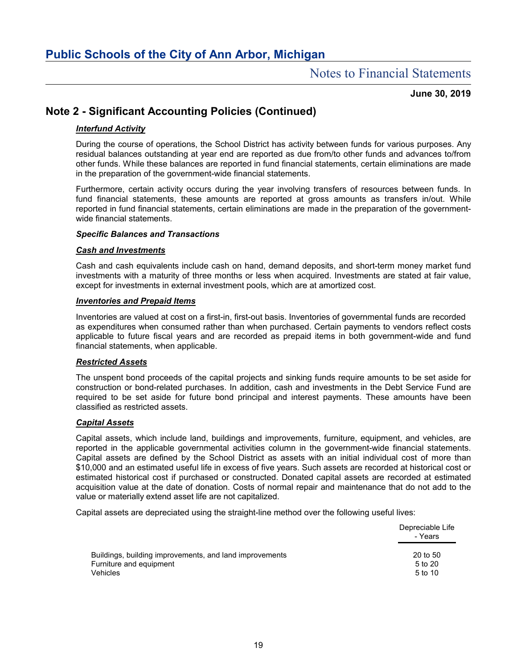# Notes to Financial Statements

### **June 30, 2019**

# **Note 2 - Significant Accounting Policies (Continued)**

### *Interfund Activity*

During the course of operations, the School District has activity between funds for various purposes. Any residual balances outstanding at year end are reported as due from/to other funds and advances to/from other funds. While these balances are reported in fund financial statements, certain eliminations are made in the preparation of the government-wide financial statements.

Furthermore, certain activity occurs during the year involving transfers of resources between funds. In fund financial statements, these amounts are reported at gross amounts as transfers in/out. While reported in fund financial statements, certain eliminations are made in the preparation of the governmentwide financial statements.

### *Specific Balances and Transactions*

#### *Cash and Investments*

Cash and cash equivalents include cash on hand, demand deposits, and short-term money market fund investments with a maturity of three months or less when acquired. Investments are stated at fair value, except for investments in external investment pools, which are at amortized cost.

#### *Inventories and Prepaid Items*

Inventories are valued at cost on a first-in, first-out basis. Inventories of governmental funds are recorded as expenditures when consumed rather than when purchased. Certain payments to vendors reflect costs applicable to future fiscal years and are recorded as prepaid items in both government-wide and fund financial statements, when applicable.

#### *Restricted Assets*

The unspent bond proceeds of the capital projects and sinking funds require amounts to be set aside for construction or bond-related purchases. In addition, cash and investments in the Debt Service Fund are required to be set aside for future bond principal and interest payments. These amounts have been classified as restricted assets.

#### *Capital Assets*

Capital assets, which include land, buildings and improvements, furniture, equipment, and vehicles, are reported in the applicable governmental activities column in the government-wide financial statements. Capital assets are defined by the School District as assets with an initial individual cost of more than \$10,000 and an estimated useful life in excess of five years. Such assets are recorded at historical cost or estimated historical cost if purchased or constructed. Donated capital assets are recorded at estimated acquisition value at the date of donation. Costs of normal repair and maintenance that do not add to the value or materially extend asset life are not capitalized.

Capital assets are depreciated using the straight-line method over the following useful lives:

|                                                         | Depreciable Life<br>- Years |
|---------------------------------------------------------|-----------------------------|
| Buildings, building improvements, and land improvements | 20 to 50                    |
| Furniture and equipment                                 | 5 to 20                     |
| <b>Vehicles</b>                                         | 5 to 10                     |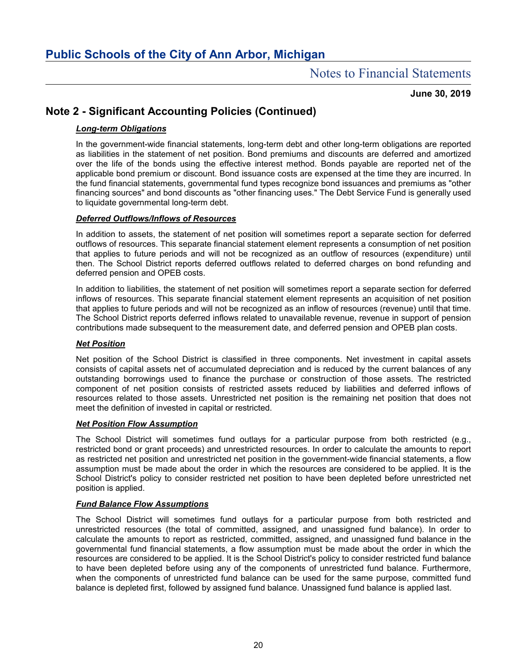**June 30, 2019**

# **Note 2 - Significant Accounting Policies (Continued)**

### *Long-term Obligations*

In the government-wide financial statements, long-term debt and other long-term obligations are reported as liabilities in the statement of net position. Bond premiums and discounts are deferred and amortized over the life of the bonds using the effective interest method. Bonds payable are reported net of the applicable bond premium or discount. Bond issuance costs are expensed at the time they are incurred. In the fund financial statements, governmental fund types recognize bond issuances and premiums as "other financing sources" and bond discounts as "other financing uses." The Debt Service Fund is generally used to liquidate governmental long-term debt.

### *Deferred Outflows/Inflows of Resources*

In addition to assets, the statement of net position will sometimes report a separate section for deferred outflows of resources. This separate financial statement element represents a consumption of net position that applies to future periods and will not be recognized as an outflow of resources (expenditure) until then. The School District reports deferred outflows related to deferred charges on bond refunding and deferred pension and OPEB costs.

In addition to liabilities, the statement of net position will sometimes report a separate section for deferred inflows of resources. This separate financial statement element represents an acquisition of net position that applies to future periods and will not be recognized as an inflow of resources (revenue) until that time. The School District reports deferred inflows related to unavailable revenue, revenue in support of pension contributions made subsequent to the measurement date, and deferred pension and OPEB plan costs.

### *Net Position*

Net position of the School District is classified in three components. Net investment in capital assets consists of capital assets net of accumulated depreciation and is reduced by the current balances of any outstanding borrowings used to finance the purchase or construction of those assets. The restricted component of net position consists of restricted assets reduced by liabilities and deferred inflows of resources related to those assets. Unrestricted net position is the remaining net position that does not meet the definition of invested in capital or restricted.

### *Net Position Flow Assumption*

The School District will sometimes fund outlays for a particular purpose from both restricted (e.g., restricted bond or grant proceeds) and unrestricted resources. In order to calculate the amounts to report as restricted net position and unrestricted net position in the government-wide financial statements, a flow assumption must be made about the order in which the resources are considered to be applied. It is the School District's policy to consider restricted net position to have been depleted before unrestricted net position is applied.

### *Fund Balance Flow Assumptions*

The School District will sometimes fund outlays for a particular purpose from both restricted and unrestricted resources (the total of committed, assigned, and unassigned fund balance). In order to calculate the amounts to report as restricted, committed, assigned, and unassigned fund balance in the governmental fund financial statements, a flow assumption must be made about the order in which the resources are considered to be applied. It is the School District's policy to consider restricted fund balance to have been depleted before using any of the components of unrestricted fund balance. Furthermore, when the components of unrestricted fund balance can be used for the same purpose, committed fund balance is depleted first, followed by assigned fund balance. Unassigned fund balance is applied last.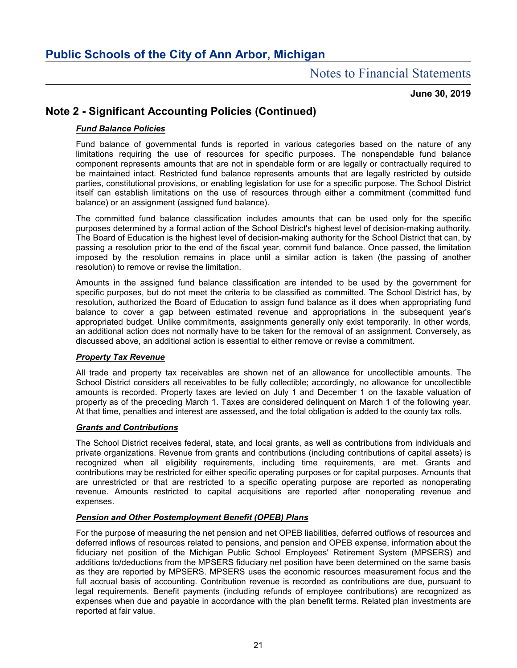**June 30, 2019**

# **Note 2 - Significant Accounting Policies (Continued)**

### *Fund Balance Policies*

Fund balance of governmental funds is reported in various categories based on the nature of any limitations requiring the use of resources for specific purposes. The nonspendable fund balance component represents amounts that are not in spendable form or are legally or contractually required to be maintained intact. Restricted fund balance represents amounts that are legally restricted by outside parties, constitutional provisions, or enabling legislation for use for a specific purpose. The School District itself can establish limitations on the use of resources through either a commitment (committed fund balance) or an assignment (assigned fund balance).

The committed fund balance classification includes amounts that can be used only for the specific purposes determined by a formal action of the School District's highest level of decision-making authority. The Board of Education is the highest level of decision-making authority for the School District that can, by passing a resolution prior to the end of the fiscal year, commit fund balance. Once passed, the limitation imposed by the resolution remains in place until a similar action is taken (the passing of another resolution) to remove or revise the limitation.

Amounts in the assigned fund balance classification are intended to be used by the government for specific purposes, but do not meet the criteria to be classified as committed. The School District has, by resolution, authorized the Board of Education to assign fund balance as it does when appropriating fund balance to cover a gap between estimated revenue and appropriations in the subsequent year's appropriated budget. Unlike commitments, assignments generally only exist temporarily. In other words, an additional action does not normally have to be taken for the removal of an assignment. Conversely, as discussed above, an additional action is essential to either remove or revise a commitment.

### *Property Tax Revenue*

All trade and property tax receivables are shown net of an allowance for uncollectible amounts. The School District considers all receivables to be fully collectible; accordingly, no allowance for uncollectible amounts is recorded. Property taxes are levied on July 1 and December 1 on the taxable valuation of property as of the preceding March 1. Taxes are considered delinquent on March 1 of the following year. At that time, penalties and interest are assessed, and the total obligation is added to the county tax rolls.

### *Grants and Contributions*

The School District receives federal, state, and local grants, as well as contributions from individuals and private organizations. Revenue from grants and contributions (including contributions of capital assets) is recognized when all eligibility requirements, including time requirements, are met. Grants and contributions may be restricted for either specific operating purposes or for capital purposes. Amounts that are unrestricted or that are restricted to a specific operating purpose are reported as nonoperating revenue. Amounts restricted to capital acquisitions are reported after nonoperating revenue and expenses.

### *Pension and Other Postemployment Benefit (OPEB) Plans*

For the purpose of measuring the net pension and net OPEB liabilities, deferred outflows of resources and deferred inflows of resources related to pensions, and pension and OPEB expense, information about the fiduciary net position of the Michigan Public School Employees' Retirement System (MPSERS) and additions to/deductions from the MPSERS fiduciary net position have been determined on the same basis as they are reported by MPSERS. MPSERS uses the economic resources measurement focus and the full accrual basis of accounting. Contribution revenue is recorded as contributions are due, pursuant to legal requirements. Benefit payments (including refunds of employee contributions) are recognized as expenses when due and payable in accordance with the plan benefit terms. Related plan investments are reported at fair value.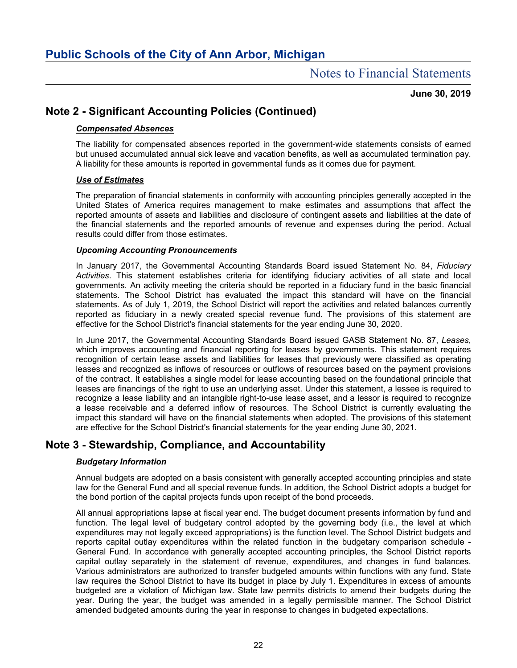**June 30, 2019**

# **Note 2 - Significant Accounting Policies (Continued)**

### *Compensated Absences*

The liability for compensated absences reported in the government-wide statements consists of earned but unused accumulated annual sick leave and vacation benefits, as well as accumulated termination pay. A liability for these amounts is reported in governmental funds as it comes due for payment.

### *Use of Estimates*

The preparation of financial statements in conformity with accounting principles generally accepted in the United States of America requires management to make estimates and assumptions that affect the reported amounts of assets and liabilities and disclosure of contingent assets and liabilities at the date of the financial statements and the reported amounts of revenue and expenses during the period. Actual results could differ from those estimates.

### *Upcoming Accounting Pronouncements*

In January 2017, the Governmental Accounting Standards Board issued Statement No. 84, *Fiduciary Activities*. This statement establishes criteria for identifying fiduciary activities of all state and local governments. An activity meeting the criteria should be reported in a fiduciary fund in the basic financial statements. The School District has evaluated the impact this standard will have on the financial statements. As of July 1, 2019, the School District will report the activities and related balances currently reported as fiduciary in a newly created special revenue fund. The provisions of this statement are effective for the School District's financial statements for the year ending June 30, 2020.

In June 2017, the Governmental Accounting Standards Board issued GASB Statement No. 87, *Leases*, which improves accounting and financial reporting for leases by governments. This statement requires recognition of certain lease assets and liabilities for leases that previously were classified as operating leases and recognized as inflows of resources or outflows of resources based on the payment provisions of the contract. It establishes a single model for lease accounting based on the foundational principle that leases are financings of the right to use an underlying asset. Under this statement, a lessee is required to recognize a lease liability and an intangible right-to-use lease asset, and a lessor is required to recognize a lease receivable and a deferred inflow of resources. The School District is currently evaluating the impact this standard will have on the financial statements when adopted. The provisions of this statement are effective for the School District's financial statements for the year ending June 30, 2021.

# **Note 3 - Stewardship, Compliance, and Accountability**

### *Budgetary Information*

Annual budgets are adopted on a basis consistent with generally accepted accounting principles and state law for the General Fund and all special revenue funds. In addition, the School District adopts a budget for the bond portion of the capital projects funds upon receipt of the bond proceeds.

All annual appropriations lapse at fiscal year end. The budget document presents information by fund and function. The legal level of budgetary control adopted by the governing body (i.e., the level at which expenditures may not legally exceed appropriations) is the function level. The School District budgets and reports capital outlay expenditures within the related function in the budgetary comparison schedule - General Fund. In accordance with generally accepted accounting principles, the School District reports capital outlay separately in the statement of revenue, expenditures, and changes in fund balances. Various administrators are authorized to transfer budgeted amounts within functions with any fund. State law requires the School District to have its budget in place by July 1. Expenditures in excess of amounts budgeted are a violation of Michigan law. State law permits districts to amend their budgets during the year. During the year, the budget was amended in a legally permissible manner. The School District amended budgeted amounts during the year in response to changes in budgeted expectations.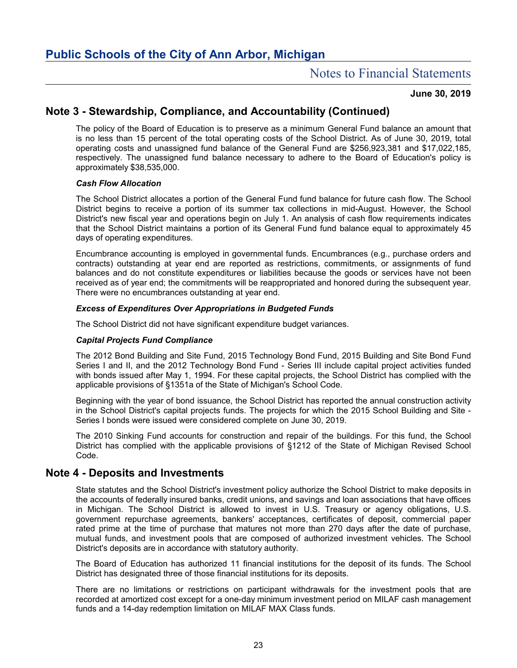### **June 30, 2019**

# **Note 3 - Stewardship, Compliance, and Accountability (Continued)**

The policy of the Board of Education is to preserve as a minimum General Fund balance an amount that is no less than 15 percent of the total operating costs of the School District. As of June 30, 2019, total operating costs and unassigned fund balance of the General Fund are \$256,923,381 and \$17,022,185, respectively. The unassigned fund balance necessary to adhere to the Board of Education's policy is approximately \$38,535,000.

### *Cash Flow Allocation*

The School District allocates a portion of the General Fund fund balance for future cash flow. The School District begins to receive a portion of its summer tax collections in mid-August. However, the School District's new fiscal year and operations begin on July 1. An analysis of cash flow requirements indicates that the School District maintains a portion of its General Fund fund balance equal to approximately 45 days of operating expenditures.

Encumbrance accounting is employed in governmental funds. Encumbrances (e.g., purchase orders and contracts) outstanding at year end are reported as restrictions, commitments, or assignments of fund balances and do not constitute expenditures or liabilities because the goods or services have not been received as of year end; the commitments will be reappropriated and honored during the subsequent year. There were no encumbrances outstanding at year end.

### *Excess of Expenditures Over Appropriations in Budgeted Funds*

The School District did not have significant expenditure budget variances.

#### *Capital Projects Fund Compliance*

The 2012 Bond Building and Site Fund, 2015 Technology Bond Fund, 2015 Building and Site Bond Fund Series I and II, and the 2012 Technology Bond Fund - Series III include capital project activities funded with bonds issued after May 1, 1994. For these capital projects, the School District has complied with the applicable provisions of §1351a of the State of Michigan's School Code.

Beginning with the year of bond issuance, the School District has reported the annual construction activity in the School District's capital projects funds. The projects for which the 2015 School Building and Site - Series I bonds were issued were considered complete on June 30, 2019.

The 2010 Sinking Fund accounts for construction and repair of the buildings. For this fund, the School District has complied with the applicable provisions of §1212 of the State of Michigan Revised School Code.

## **Note 4 - Deposits and Investments**

State statutes and the School District's investment policy authorize the School District to make deposits in the accounts of federally insured banks, credit unions, and savings and loan associations that have offices in Michigan. The School District is allowed to invest in U.S. Treasury or agency obligations, U.S. government repurchase agreements, bankers' acceptances, certificates of deposit, commercial paper rated prime at the time of purchase that matures not more than 270 days after the date of purchase, mutual funds, and investment pools that are composed of authorized investment vehicles. The School District's deposits are in accordance with statutory authority.

The Board of Education has authorized 11 financial institutions for the deposit of its funds. The School District has designated three of those financial institutions for its deposits.

There are no limitations or restrictions on participant withdrawals for the investment pools that are recorded at amortized cost except for a one-day minimum investment period on MILAF cash management funds and a 14-day redemption limitation on MILAF MAX Class funds.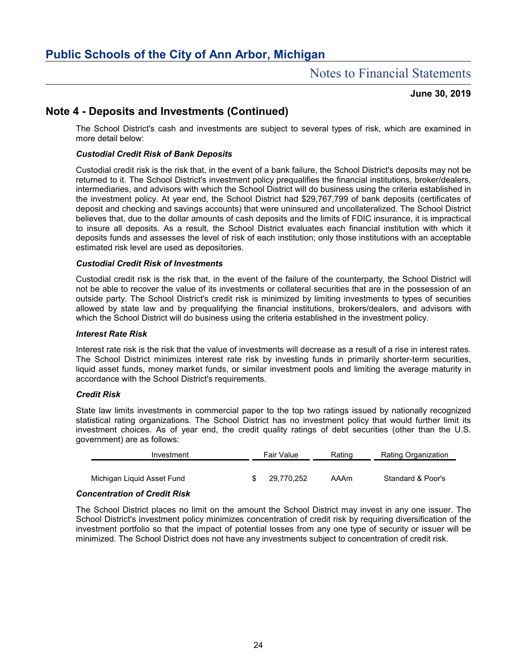### **June 30, 2019**

# **Note 4 - Deposits and Investments (Continued)**

The School District's cash and investments are subject to several types of risk, which are examined in more detail below:

### *Custodial Credit Risk of Bank Deposits*

Custodial credit risk is the risk that, in the event of a bank failure, the School District's deposits may not be returned to it. The School District's investment policy prequalifies the financial institutions, broker/dealers, intermediaries, and advisors with which the School District will do business using the criteria established in the investment policy. At year end, the School District had \$29,767,799 of bank deposits (certificates of deposit and checking and savings accounts) that were uninsured and uncollateralized. The School District believes that, due to the dollar amounts of cash deposits and the limits of FDIC insurance, it is impractical to insure all deposits. As a result, the School District evaluates each financial institution with which it deposits funds and assesses the level of risk of each institution; only those institutions with an acceptable estimated risk level are used as depositories.

### *Custodial Credit Risk of Investments*

Custodial credit risk is the risk that, in the event of the failure of the counterparty, the School District will not be able to recover the value of its investments or collateral securities that are in the possession of an outside party. The School District's credit risk is minimized by limiting investments to types of securities allowed by state law and by prequalifying the financial institutions, brokers/dealers, and advisors with which the School District will do business using the criteria established in the investment policy.

#### *Interest Rate Risk*

Interest rate risk is the risk that the value of investments will decrease as a result of a rise in interest rates. The School District minimizes interest rate risk by investing funds in primarily shorter-term securities, liquid asset funds, money market funds, or similar investment pools and limiting the average maturity in accordance with the School District's requirements.

#### *Credit Risk*

State law limits investments in commercial paper to the top two ratings issued by nationally recognized statistical rating organizations. The School District has no investment policy that would further limit its investment choices. As of year end, the credit quality ratings of debt securities (other than the U.S. government) are as follows:

| Investment                 |  | Fair Value | Rating | Rating Organization |  |  |  |
|----------------------------|--|------------|--------|---------------------|--|--|--|
| Michigan Liguid Asset Fund |  | 29.770.252 | AAAm   | Standard & Poor's   |  |  |  |
|                            |  |            |        |                     |  |  |  |

#### *Concentration of Credit Risk*

The School District places no limit on the amount the School District may invest in any one issuer. The School District's investment policy minimizes concentration of credit risk by requiring diversification of the investment portfolio so that the impact of potential losses from any one type of security or issuer will be minimized. The School District does not have any investments subject to concentration of credit risk.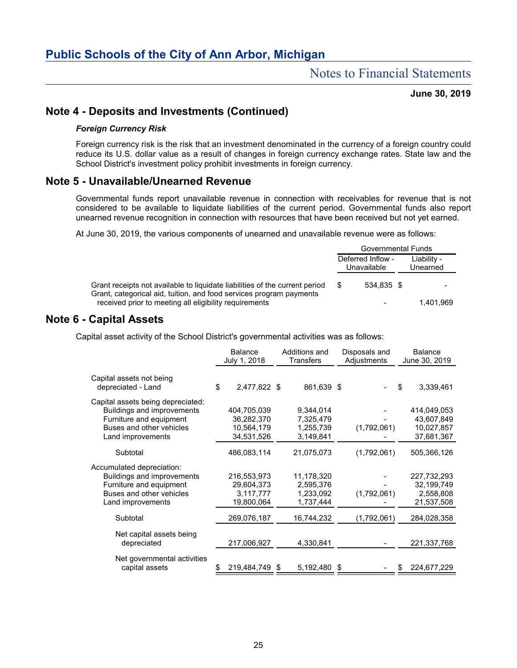### **June 30, 2019**

# **Note 4 - Deposits and Investments (Continued)**

#### *Foreign Currency Risk*

Foreign currency risk is the risk that an investment denominated in the currency of a foreign country could reduce its U.S. dollar value as a result of changes in foreign currency exchange rates. State law and the School District's investment policy prohibit investments in foreign currency.

# **Note 5 - Unavailable/Unearned Revenue**

Governmental funds report unavailable revenue in connection with receivables for revenue that is not considered to be available to liquidate liabilities of the current period. Governmental funds also report unearned revenue recognition in connection with resources that have been received but not yet earned.

At June 30, 2019, the various components of unearned and unavailable revenue were as follows:

|                                                                                                                                                    | Governmental Funds               |            |  |                         |
|----------------------------------------------------------------------------------------------------------------------------------------------------|----------------------------------|------------|--|-------------------------|
|                                                                                                                                                    | Deferred Inflow -<br>Unavailable |            |  | Liability -<br>Unearned |
| Grant receipts not available to liquidate liabilities of the current period<br>Grant, categorical aid, tuition, and food services program payments |                                  | 534.835 \$ |  |                         |
| received prior to meeting all eligibility requirements                                                                                             |                                  |            |  | 1.401.969               |

# **Note 6 - Capital Assets**

Capital asset activity of the School District's governmental activities was as follows:

|                                                                                                                                             | <b>Balance</b><br>July 1, 2018                        |  | Additions and<br>Transfers                        |  | Disposals and<br>Adjustments |    | <b>Balance</b><br>June 30, 2019                       |  |
|---------------------------------------------------------------------------------------------------------------------------------------------|-------------------------------------------------------|--|---------------------------------------------------|--|------------------------------|----|-------------------------------------------------------|--|
| Capital assets not being<br>depreciated - Land                                                                                              | \$<br>2,477,822 \$                                    |  | 861,639 \$                                        |  |                              | \$ | 3,339,461                                             |  |
| Capital assets being depreciated:<br>Buildings and improvements<br>Furniture and equipment<br>Buses and other vehicles<br>Land improvements | 404,705,039<br>36,282,370<br>10,564,179<br>34,531,526 |  | 9,344,014<br>7,325,479<br>1,255,739<br>3,149,841  |  | (1,792,061)                  |    | 414,049,053<br>43.607.849<br>10,027,857<br>37,681,367 |  |
| Subtotal                                                                                                                                    | 486,083,114                                           |  | 21,075,073                                        |  | (1,792,061)                  |    | 505,366,126                                           |  |
| Accumulated depreciation:<br><b>Buildings and improvements</b><br>Furniture and equipment<br>Buses and other vehicles<br>Land improvements  | 216,553,973<br>29,604,373<br>3,117,777<br>19,800,064  |  | 11,178,320<br>2,595,376<br>1,233,092<br>1,737,444 |  | (1,792,061)                  |    | 227,732,293<br>32,199,749<br>2,558,808<br>21,537,508  |  |
| Subtotal                                                                                                                                    | 269,076,187                                           |  | 16,744,232                                        |  | (1,792,061)                  |    | 284,028,358                                           |  |
| Net capital assets being<br>depreciated                                                                                                     | 217,006,927                                           |  | 4,330,841                                         |  |                              |    | 221,337,768                                           |  |
| Net governmental activities<br>capital assets                                                                                               | \$<br>219,484,749 \$                                  |  | 5,192,480 \$                                      |  |                              | S  | 224,677,229                                           |  |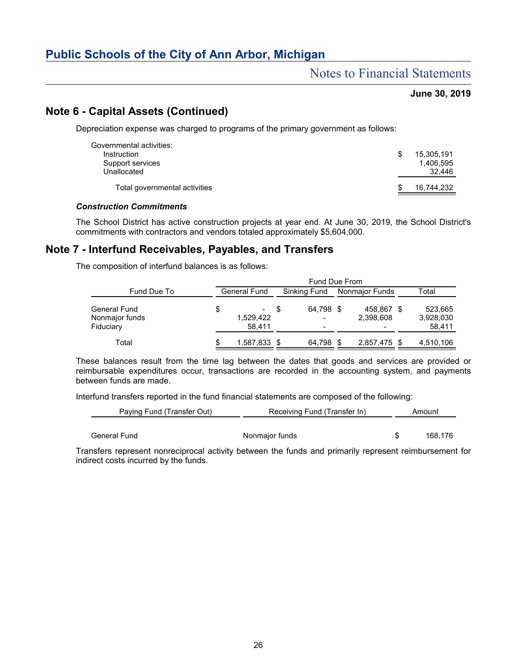# Notes to Financial Statements

### **June 30, 2019**

# **Note 6 - Capital Assets (Continued)**

Depreciation expense was charged to programs of the primary government as follows:

| Governmental activities:      |            |
|-------------------------------|------------|
| Instruction                   | 15.305.191 |
| Support services              | 1.406.595  |
| Unallocated                   | 32.446     |
| Total governmental activities | 16.744.232 |
|                               |            |

### *Construction Commitments*

The School District has active construction projects at year end. At June 30, 2019, the School District's commitments with contractors and vendors totaled approximately \$5,604,000.

# **Note 7 - Interfund Receivables, Payables, and Transfers**

The composition of interfund balances is as follows:

|                                                    |   | <b>Fund Due From</b>        |      |                                            |  |                         |  |                                |  |
|----------------------------------------------------|---|-----------------------------|------|--------------------------------------------|--|-------------------------|--|--------------------------------|--|
| Fund Due To                                        |   | <b>General Fund</b>         |      | Sinking Fund                               |  | Nonmajor Funds          |  | Total                          |  |
| <b>General Fund</b><br>Nonmajor funds<br>Fiduciary | S | $\,$<br>1,529,422<br>58.411 | - \$ | 64,798 \$<br>$\overline{\phantom{0}}$<br>۰ |  | 458.867 \$<br>2,398,608 |  | 523,665<br>3,928,030<br>58,411 |  |
| Total                                              | S | 1,587,833 \$                |      | 64,798 \$                                  |  | 2,857,475 \$            |  | 4,510,106                      |  |

These balances result from the time lag between the dates that goods and services are provided or reimbursable expenditures occur, transactions are recorded in the accounting system, and payments between funds are made.

Interfund transfers reported in the fund financial statements are composed of the following:

| Paying Fund (Transfer Out) | Receiving Fund (Transfer In) | Amount  |
|----------------------------|------------------------------|---------|
|                            |                              |         |
| General Fund               | Nonmajor funds               | 168.176 |

Transfers represent nonreciprocal activity between the funds and primarily represent reimbursement for indirect costs incurred by the funds.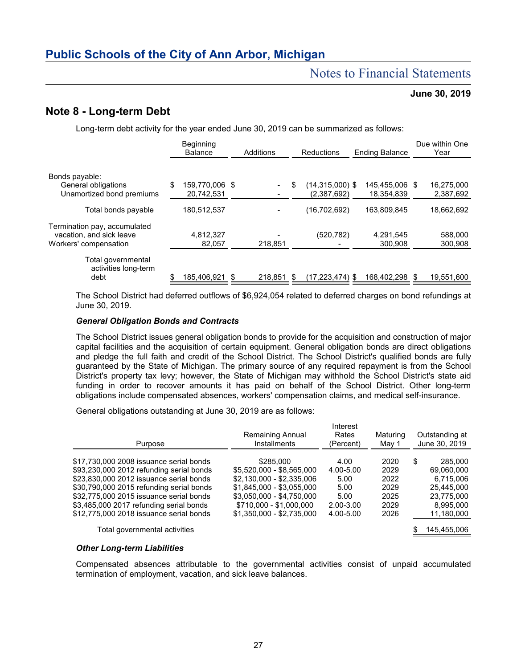# Notes to Financial Statements

### **June 30, 2019**

# **Note 8 - Long-term Debt**

Long-term debt activity for the year ended June 30, 2019 can be summarized as follows:

|                                                          | Beginning<br><b>Balance</b> | Additions |         |    | <b>Reductions</b>           | <b>Ending Balance</b>     | Due within One<br>Year  |  |
|----------------------------------------------------------|-----------------------------|-----------|---------|----|-----------------------------|---------------------------|-------------------------|--|
| Bonds payable:<br>General obligations                    | \$<br>159,770,006 \$        |           |         | \$ | (14,315,000) \$             | 145,455,006 \$            | 16,275,000              |  |
| Unamortized bond premiums<br>Total bonds payable         | 20,742,531<br>180,512,537   |           |         |    | (2,387,692)<br>(16,702,692) | 18.354.839<br>163,809,845 | 2,387,692<br>18,662,692 |  |
| Termination pay, accumulated<br>vacation, and sick leave | 4,812,327                   |           |         |    | (520,782)                   | 4,291,545                 | 588,000                 |  |
| Workers' compensation                                    | 82.057                      |           | 218.851 |    |                             | 300.908                   | 300.908                 |  |
| Total governmental<br>activities long-term<br>debt       | 185.406.921                 | -\$       | 218.851 | S  | (17,223,474) \$             | 168,402,298               | 19,551,600              |  |

The School District had deferred outflows of \$6,924,054 related to deferred charges on bond refundings at June 30, 2019.

#### *General Obligation Bonds and Contracts*

The School District issues general obligation bonds to provide for the acquisition and construction of major capital facilities and the acquisition of certain equipment. General obligation bonds are direct obligations and pledge the full faith and credit of the School District. The School District's qualified bonds are fully guaranteed by the State of Michigan. The primary source of any required repayment is from the School District's property tax levy; however, the State of Michigan may withhold the School District's state aid funding in order to recover amounts it has paid on behalf of the School District. Other long-term obligations include compensated absences, workers' compensation claims, and medical self-insurance.

General obligations outstanding at June 30, 2019 are as follows:

| Purpose                                  | <b>Remaining Annual</b><br><b>Installments</b> | Interest<br>Rates<br>(Percent) | Maturing<br>May 1 | Outstanding at<br>June 30, 2019 |             |  |
|------------------------------------------|------------------------------------------------|--------------------------------|-------------------|---------------------------------|-------------|--|
| \$17,730,000 2008 issuance serial bonds  | \$285,000                                      | 4.00                           | 2020              | \$                              | 285,000     |  |
| \$93,230,000 2012 refunding serial bonds | \$5,520,000 - \$8,565,000                      | 4.00-5.00                      | 2029              |                                 | 69,060,000  |  |
| \$23,830,000 2012 issuance serial bonds  | \$2.130.000 - \$2.335.006                      | 5.00                           | 2022              |                                 | 6.715.006   |  |
| \$30,790,000 2015 refunding serial bonds | \$1.845.000 - \$3.055.000                      | 5.00                           | 2029              |                                 | 25.445.000  |  |
| \$32,775,000 2015 issuance serial bonds  | \$3.050.000 - \$4.750.000                      | 5.00                           | 2025              |                                 | 23.775.000  |  |
| \$3,485,000 2017 refunding serial bonds  | \$710.000 - \$1.000.000                        | 2.00-3.00                      | 2029              |                                 | 8.995.000   |  |
| \$12,775,000 2018 issuance serial bonds  | \$1.350.000 - \$2.735.000                      | 4.00-5.00                      | 2026              |                                 | 11,180,000  |  |
| Total governmental activities            |                                                |                                |                   |                                 | 145,455,006 |  |

#### *Other Long-term Liabilities*

Compensated absences attributable to the governmental activities consist of unpaid accumulated termination of employment, vacation, and sick leave balances.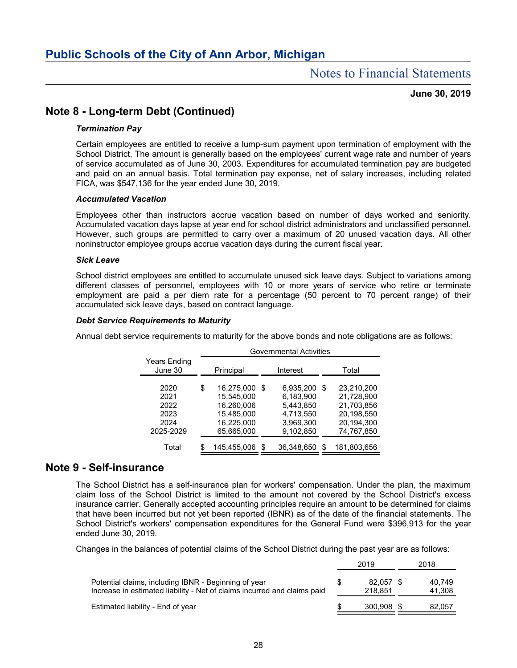#### **June 30, 2019**

# **Note 8 - Long-term Debt (Continued)**

#### *Termination Pay*

Certain employees are entitled to receive a lump-sum payment upon termination of employment with the School District. The amount is generally based on the employees' current wage rate and number of years of service accumulated as of June 30, 2003. Expenditures for accumulated termination pay are budgeted and paid on an annual basis. Total termination pay expense, net of salary increases, including related FICA, was \$547,136 for the year ended June 30, 2019.

#### *Accumulated Vacation*

Employees other than instructors accrue vacation based on number of days worked and seniority. Accumulated vacation days lapse at year end for school district administrators and unclassified personnel. However, such groups are permitted to carry over a maximum of 20 unused vacation days. All other noninstructor employee groups accrue vacation days during the current fiscal year.

#### *Sick Leave*

School district employees are entitled to accumulate unused sick leave days. Subject to variations among different classes of personnel, employees with 10 or more years of service who retire or terminate employment are paid a per diem rate for a percentage (50 percent to 70 percent range) of their accumulated sick leave days, based on contract language.

### *Debt Service Requirements to Maturity*

Annual debt service requirements to maturity for the above bonds and note obligations are as follows:

|                                                   |           | <b>Governmental Activities</b>                                                   |    |                                                                            |       |                                                                                  |  |  |  |  |
|---------------------------------------------------|-----------|----------------------------------------------------------------------------------|----|----------------------------------------------------------------------------|-------|----------------------------------------------------------------------------------|--|--|--|--|
| <b>Years Ending</b><br>June 30                    | Principal |                                                                                  |    | Interest                                                                   | Total |                                                                                  |  |  |  |  |
| 2020<br>2021<br>2022<br>2023<br>2024<br>2025-2029 | \$        | 16.275.000<br>15.545.000<br>16.260.006<br>15.485.000<br>16,225,000<br>65,665,000 | .S | 6,935,200<br>6,183,900<br>5.443.850<br>4.713.550<br>3.969.300<br>9,102,850 | S     | 23,210,200<br>21,728,900<br>21.703.856<br>20,198,550<br>20,194,300<br>74,767,850 |  |  |  |  |
| Total                                             | \$        | 145.455.006                                                                      | S  | 36.348.650                                                                 | S     | 181.803.656                                                                      |  |  |  |  |

# **Note 9 - Self-insurance**

The School District has a self-insurance plan for workers' compensation. Under the plan, the maximum claim loss of the School District is limited to the amount not covered by the School District's excess insurance carrier. Generally accepted accounting principles require an amount to be determined for claims that have been incurred but not yet been reported (IBNR) as of the date of the financial statements. The School District's workers' compensation expenditures for the General Fund were \$396,913 for the year ended June 30, 2019.

Changes in the balances of potential claims of the School District during the past year are as follows:

|                                                                                                                                  | 2019                 | 2018             |
|----------------------------------------------------------------------------------------------------------------------------------|----------------------|------------------|
| Potential claims, including IBNR - Beginning of year<br>Increase in estimated liability - Net of claims incurred and claims paid | 82.057 \$<br>218.851 | 40.749<br>41,308 |
| Estimated liability - End of year                                                                                                | 300.908 \$           | 82.057           |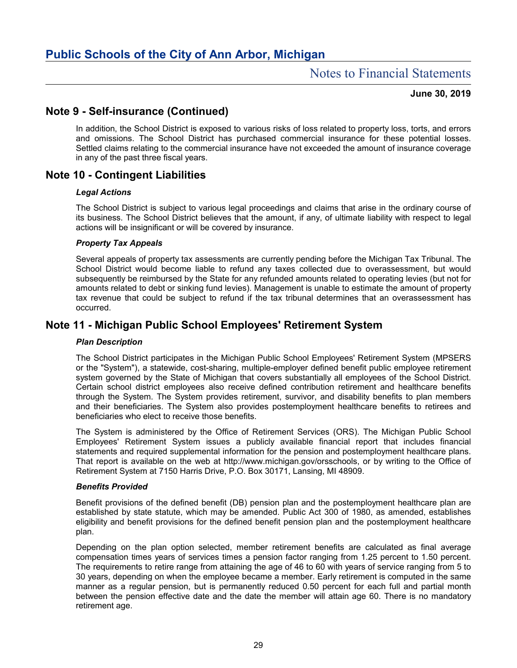### **June 30, 2019**

# **Note 9 - Self-insurance (Continued)**

In addition, the School District is exposed to various risks of loss related to property loss, torts, and errors and omissions. The School District has purchased commercial insurance for these potential losses. Settled claims relating to the commercial insurance have not exceeded the amount of insurance coverage in any of the past three fiscal years.

# **Note 10 - Contingent Liabilities**

### *Legal Actions*

The School District is subject to various legal proceedings and claims that arise in the ordinary course of its business. The School District believes that the amount, if any, of ultimate liability with respect to legal actions will be insignificant or will be covered by insurance.

### *Property Tax Appeals*

Several appeals of property tax assessments are currently pending before the Michigan Tax Tribunal. The School District would become liable to refund any taxes collected due to overassessment, but would subsequently be reimbursed by the State for any refunded amounts related to operating levies (but not for amounts related to debt or sinking fund levies). Management is unable to estimate the amount of property tax revenue that could be subject to refund if the tax tribunal determines that an overassessment has occurred.

# **Note 11 - Michigan Public School Employees' Retirement System**

#### *Plan Description*

The School District participates in the Michigan Public School Employees' Retirement System (MPSERS or the "System"), a statewide, cost-sharing, multiple-employer defined benefit public employee retirement system governed by the State of Michigan that covers substantially all employees of the School District. Certain school district employees also receive defined contribution retirement and healthcare benefits through the System. The System provides retirement, survivor, and disability benefits to plan members and their beneficiaries. The System also provides postemployment healthcare benefits to retirees and beneficiaries who elect to receive those benefits.

The System is administered by the Office of Retirement Services (ORS). The Michigan Public School Employees' Retirement System issues a publicly available financial report that includes financial statements and required supplemental information for the pension and postemployment healthcare plans. That report is available on the web at http://www.michigan.gov/orsschools, or by writing to the Office of Retirement System at 7150 Harris Drive, P.O. Box 30171, Lansing, MI 48909.

#### *Benefits Provided*

Benefit provisions of the defined benefit (DB) pension plan and the postemployment healthcare plan are established by state statute, which may be amended. Public Act 300 of 1980, as amended, establishes eligibility and benefit provisions for the defined benefit pension plan and the postemployment healthcare plan.

Depending on the plan option selected, member retirement benefits are calculated as final average compensation times years of services times a pension factor ranging from 1.25 percent to 1.50 percent. The requirements to retire range from attaining the age of 46 to 60 with years of service ranging from 5 to 30 years, depending on when the employee became a member. Early retirement is computed in the same manner as a regular pension, but is permanently reduced 0.50 percent for each full and partial month between the pension effective date and the date the member will attain age 60. There is no mandatory retirement age.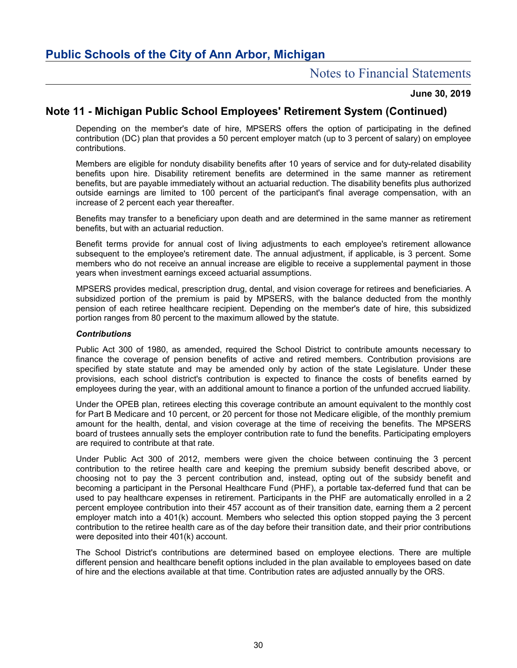### **June 30, 2019**

# **Note 11 - Michigan Public School Employees' Retirement System (Continued)**

Depending on the member's date of hire, MPSERS offers the option of participating in the defined contribution (DC) plan that provides a 50 percent employer match (up to 3 percent of salary) on employee contributions.

Members are eligible for nonduty disability benefits after 10 years of service and for duty-related disability benefits upon hire. Disability retirement benefits are determined in the same manner as retirement benefits, but are payable immediately without an actuarial reduction. The disability benefits plus authorized outside earnings are limited to 100 percent of the participant's final average compensation, with an increase of 2 percent each year thereafter.

Benefits may transfer to a beneficiary upon death and are determined in the same manner as retirement benefits, but with an actuarial reduction.

Benefit terms provide for annual cost of living adjustments to each employee's retirement allowance subsequent to the employee's retirement date. The annual adjustment, if applicable, is 3 percent. Some members who do not receive an annual increase are eligible to receive a supplemental payment in those years when investment earnings exceed actuarial assumptions.

MPSERS provides medical, prescription drug, dental, and vision coverage for retirees and beneficiaries. A subsidized portion of the premium is paid by MPSERS, with the balance deducted from the monthly pension of each retiree healthcare recipient. Depending on the member's date of hire, this subsidized portion ranges from 80 percent to the maximum allowed by the statute.

#### *Contributions*

Public Act 300 of 1980, as amended, required the School District to contribute amounts necessary to finance the coverage of pension benefits of active and retired members. Contribution provisions are specified by state statute and may be amended only by action of the state Legislature. Under these provisions, each school district's contribution is expected to finance the costs of benefits earned by employees during the year, with an additional amount to finance a portion of the unfunded accrued liability.

Under the OPEB plan, retirees electing this coverage contribute an amount equivalent to the monthly cost for Part B Medicare and 10 percent, or 20 percent for those not Medicare eligible, of the monthly premium amount for the health, dental, and vision coverage at the time of receiving the benefits. The MPSERS board of trustees annually sets the employer contribution rate to fund the benefits. Participating employers are required to contribute at that rate.

Under Public Act 300 of 2012, members were given the choice between continuing the 3 percent contribution to the retiree health care and keeping the premium subsidy benefit described above, or choosing not to pay the 3 percent contribution and, instead, opting out of the subsidy benefit and becoming a participant in the Personal Healthcare Fund (PHF), a portable tax-deferred fund that can be used to pay healthcare expenses in retirement. Participants in the PHF are automatically enrolled in a 2 percent employee contribution into their 457 account as of their transition date, earning them a 2 percent employer match into a 401(k) account. Members who selected this option stopped paying the 3 percent contribution to the retiree health care as of the day before their transition date, and their prior contributions were deposited into their 401(k) account.

The School District's contributions are determined based on employee elections. There are multiple different pension and healthcare benefit options included in the plan available to employees based on date of hire and the elections available at that time. Contribution rates are adjusted annually by the ORS.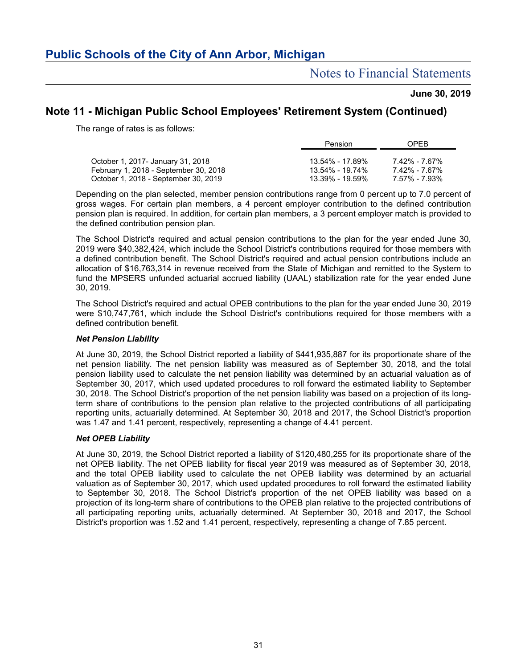# Notes to Financial Statements

### **June 30, 2019**

# **Note 11 - Michigan Public School Employees' Retirement System (Continued)**

The range of rates is as follows:

|                                       | Pension         | <b>OPFB</b>   |
|---------------------------------------|-----------------|---------------|
|                                       |                 |               |
| October 1, 2017- January 31, 2018     | 13.54% - 17.89% | 7.42% - 7.67% |
| February 1, 2018 - September 30, 2018 | 13.54% - 19.74% | 7.42% - 7.67% |
| October 1, 2018 - September 30, 2019  | 13.39% - 19.59% | 7.57% - 7.93% |

Depending on the plan selected, member pension contributions range from 0 percent up to 7.0 percent of gross wages. For certain plan members, a 4 percent employer contribution to the defined contribution pension plan is required. In addition, for certain plan members, a 3 percent employer match is provided to the defined contribution pension plan.

The School District's required and actual pension contributions to the plan for the year ended June 30, 2019 were \$40,382,424, which include the School District's contributions required for those members with a defined contribution benefit. The School District's required and actual pension contributions include an allocation of \$16,763,314 in revenue received from the State of Michigan and remitted to the System to fund the MPSERS unfunded actuarial accrued liability (UAAL) stabilization rate for the year ended June 30, 2019.

The School District's required and actual OPEB contributions to the plan for the year ended June 30, 2019 were \$10,747,761, which include the School District's contributions required for those members with a defined contribution benefit.

#### *Net Pension Liability*

At June 30, 2019, the School District reported a liability of \$441,935,887 for its proportionate share of the net pension liability. The net pension liability was measured as of September 30, 2018, and the total pension liability used to calculate the net pension liability was determined by an actuarial valuation as of September 30, 2017, which used updated procedures to roll forward the estimated liability to September 30, 2018. The School District's proportion of the net pension liability was based on a projection of its longterm share of contributions to the pension plan relative to the projected contributions of all participating reporting units, actuarially determined. At September 30, 2018 and 2017, the School District's proportion was 1.47 and 1.41 percent, respectively, representing a change of 4.41 percent.

#### *Net OPEB Liability*

At June 30, 2019, the School District reported a liability of \$120,480,255 for its proportionate share of the net OPEB liability. The net OPEB liability for fiscal year 2019 was measured as of September 30, 2018, and the total OPEB liability used to calculate the net OPEB liability was determined by an actuarial valuation as of September 30, 2017, which used updated procedures to roll forward the estimated liability to September 30, 2018. The School District's proportion of the net OPEB liability was based on a projection of its long-term share of contributions to the OPEB plan relative to the projected contributions of all participating reporting units, actuarially determined. At September 30, 2018 and 2017, the School District's proportion was 1.52 and 1.41 percent, respectively, representing a change of 7.85 percent.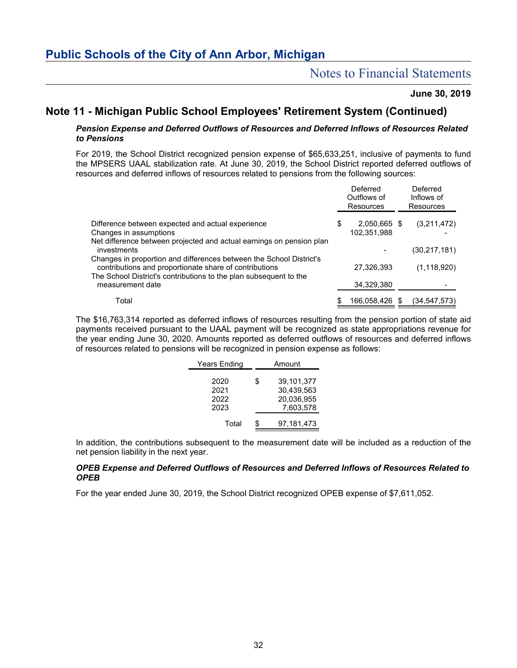# Notes to Financial Statements

### **June 30, 2019**

# **Note 11 - Michigan Public School Employees' Retirement System (Continued)**

#### *Pension Expense and Deferred Outflows of Resources and Deferred Inflows of Resources Related to Pensions*

For 2019, the School District recognized pension expense of \$65,633,251, inclusive of payments to fund the MPSERS UAAL stabilization rate. At June 30, 2019, the School District reported deferred outflows of resources and deferred inflows of resources related to pensions from the following sources:

|                                                                      | Deferred<br>Outflows of<br>Resources | Deferred<br>Inflows of<br><b>Resources</b> |
|----------------------------------------------------------------------|--------------------------------------|--------------------------------------------|
| Difference between expected and actual experience                    | \$<br>2,050,665 \$                   | (3,211,472)                                |
| Changes in assumptions                                               | 102,351,988                          |                                            |
| Net difference between projected and actual earnings on pension plan |                                      |                                            |
| investments                                                          |                                      | (30,217,181)                               |
| Changes in proportion and differences between the School District's  |                                      |                                            |
| contributions and proportionate share of contributions               | 27,326,393                           | (1, 118, 920)                              |
| The School District's contributions to the plan subsequent to the    |                                      |                                            |
| measurement date                                                     | 34,329,380                           |                                            |
| Total                                                                | \$<br>166,058,426 \$                 | (34,547,573)                               |

The \$16,763,314 reported as deferred inflows of resources resulting from the pension portion of state aid payments received pursuant to the UAAL payment will be recognized as state appropriations revenue for the year ending June 30, 2020. Amounts reported as deferred outflows of resources and deferred inflows of resources related to pensions will be recognized in pension expense as follows:

| Years Ending                 | Amount                                                    |  |  |  |  |
|------------------------------|-----------------------------------------------------------|--|--|--|--|
| 2020<br>2021<br>2022<br>2023 | \$<br>39.101.377<br>30,439,563<br>20,036,955<br>7,603,578 |  |  |  |  |
| Total                        | 97,181,473                                                |  |  |  |  |

In addition, the contributions subsequent to the measurement date will be included as a reduction of the net pension liability in the next year.

#### *OPEB Expense and Deferred Outflows of Resources and Deferred Inflows of Resources Related to OPEB*

For the year ended June 30, 2019, the School District recognized OPEB expense of \$7,611,052.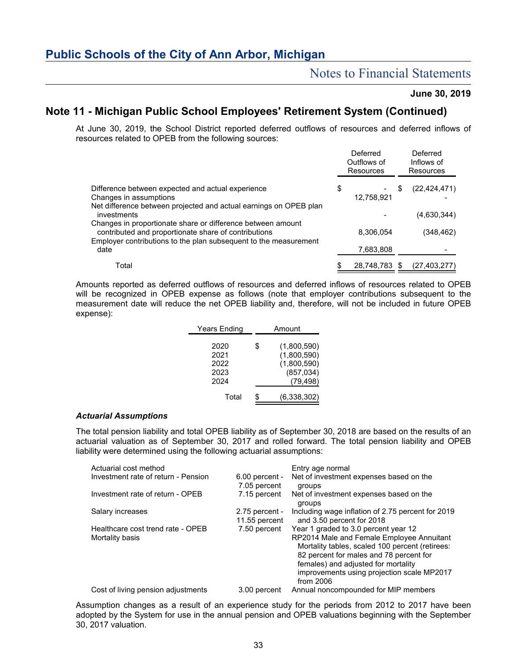### **June 30, 2019**

# **Note 11 - Michigan Public School Employees' Retirement System (Continued)**

At June 30, 2019, the School District reported deferred outflows of resources and deferred inflows of resources related to OPEB from the following sources:

|                                                                                                                     | Deferred<br>Outflows of<br>Resources |   | Deferred<br>Inflows of<br>Resources |
|---------------------------------------------------------------------------------------------------------------------|--------------------------------------|---|-------------------------------------|
| Difference between expected and actual experience                                                                   | \$                                   | S | (22, 424, 471)                      |
| Changes in assumptions                                                                                              | 12,758,921                           |   |                                     |
| Net difference between projected and actual earnings on OPEB plan<br>investments                                    |                                      |   | (4,630,344)                         |
| Changes in proportionate share or difference between amount<br>contributed and proportionate share of contributions | 8,306,054                            |   | (348,462)                           |
| Employer contributions to the plan subsequent to the measurement<br>date                                            | 7,683,808                            |   |                                     |
| Total                                                                                                               | \$<br>28,748,783 \$                  |   | (27, 403, 277)                      |

Amounts reported as deferred outflows of resources and deferred inflows of resources related to OPEB will be recognized in OPEB expense as follows (note that employer contributions subsequent to the measurement date will reduce the net OPEB liability and, therefore, will not be included in future OPEB expense):

| Years Ending                         | Amount |                                                                      |  |  |  |
|--------------------------------------|--------|----------------------------------------------------------------------|--|--|--|
| 2020<br>2021<br>2022<br>2023<br>2024 | \$     | (1,800,590)<br>(1,800,590)<br>(1,800,590)<br>(857, 034)<br>(79, 498) |  |  |  |
| Total                                | \$     | (6,338,302)                                                          |  |  |  |

#### *Actuarial Assumptions*

The total pension liability and total OPEB liability as of September 30, 2018 are based on the results of an actuarial valuation as of September 30, 2017 and rolled forward. The total pension liability and OPEB liability were determined using the following actuarial assumptions:

| Actuarial cost method                                |                                   | Entry age normal                                                                                                                                                                                                                                                                  |
|------------------------------------------------------|-----------------------------------|-----------------------------------------------------------------------------------------------------------------------------------------------------------------------------------------------------------------------------------------------------------------------------------|
| Investment rate of return - Pension                  | $6.00$ percent -<br>7.05 percent  | Net of investment expenses based on the<br>groups                                                                                                                                                                                                                                 |
| Investment rate of return - OPEB                     | 7.15 percent                      | Net of investment expenses based on the<br>groups                                                                                                                                                                                                                                 |
| Salary increases                                     | $2.75$ percent -<br>11.55 percent | Including wage inflation of 2.75 percent for 2019<br>and 3.50 percent for 2018                                                                                                                                                                                                    |
| Healthcare cost trend rate - OPEB<br>Mortality basis | 7.50 percent                      | Year 1 graded to 3.0 percent year 12<br>RP2014 Male and Female Employee Annuitant<br>Mortality tables, scaled 100 percent (retirees:<br>82 percent for males and 78 percent for<br>females) and adjusted for mortality<br>improvements using projection scale MP2017<br>from 2006 |
| Cost of living pension adjustments                   | 3.00 percent                      | Annual noncompounded for MIP members                                                                                                                                                                                                                                              |

Assumption changes as a result of an experience study for the periods from 2012 to 2017 have been adopted by the System for use in the annual pension and OPEB valuations beginning with the September 30, 2017 valuation.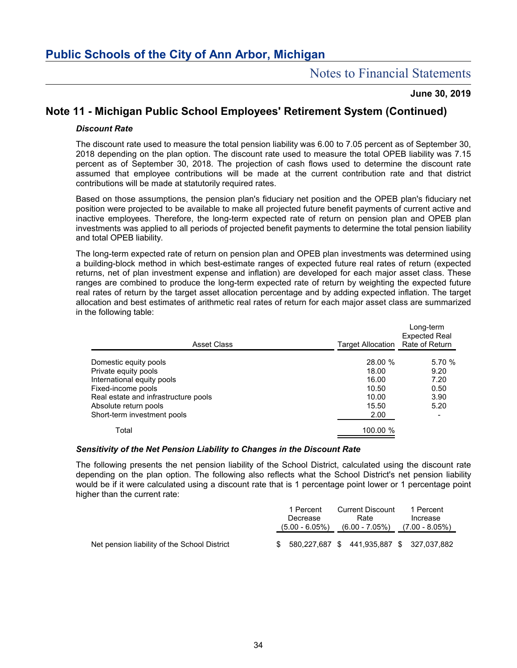### **June 30, 2019**

# **Note 11 - Michigan Public School Employees' Retirement System (Continued)**

#### *Discount Rate*

The discount rate used to measure the total pension liability was 6.00 to 7.05 percent as of September 30, 2018 depending on the plan option. The discount rate used to measure the total OPEB liability was 7.15 percent as of September 30, 2018. The projection of cash flows used to determine the discount rate assumed that employee contributions will be made at the current contribution rate and that district contributions will be made at statutorily required rates.

Based on those assumptions, the pension plan's fiduciary net position and the OPEB plan's fiduciary net position were projected to be available to make all projected future benefit payments of current active and inactive employees. Therefore, the long-term expected rate of return on pension plan and OPEB plan investments was applied to all periods of projected benefit payments to determine the total pension liability and total OPEB liability.

The long-term expected rate of return on pension plan and OPEB plan investments was determined using a building-block method in which best-estimate ranges of expected future real rates of return (expected returns, net of plan investment expense and inflation) are developed for each major asset class. These ranges are combined to produce the long-term expected rate of return by weighting the expected future real rates of return by the target asset allocation percentage and by adding expected inflation. The target allocation and best estimates of arithmetic real rates of return for each major asset class are summarized in the following table:

| <b>Asset Class</b>                   | Target Allocation Rate of Return | Long-term<br><b>Expected Real</b> |
|--------------------------------------|----------------------------------|-----------------------------------|
| Domestic equity pools                | 28.00 %                          | 5.70 %                            |
| Private equity pools                 | 18.00                            | 9.20                              |
| International equity pools           | 16.00                            | 7.20                              |
| Fixed-income pools                   | 10.50                            | 0.50                              |
| Real estate and infrastructure pools | 10.00                            | 3.90                              |
| Absolute return pools                | 15.50                            | 5.20                              |
| Short-term investment pools          | 2.00                             |                                   |
| Total                                | 100.00 %                         |                                   |

#### *Sensitivity of the Net Pension Liability to Changes in the Discount Rate*

The following presents the net pension liability of the School District, calculated using the discount rate depending on the plan option. The following also reflects what the School District's net pension liability would be if it were calculated using a discount rate that is 1 percentage point lower or 1 percentage point higher than the current rate:

|                                              | 1 Percent |                  | <b>Current Discount</b> |                | 1 Percent                                    |
|----------------------------------------------|-----------|------------------|-------------------------|----------------|----------------------------------------------|
|                                              | Decrease  |                  | Rate                    |                | Increase                                     |
|                                              |           | $(5.00 - 6.05%)$ |                         | (6.00 - 7.05%) | (7.00 - 8.05%)                               |
|                                              |           |                  |                         |                |                                              |
| Net pension liability of the School District |           |                  |                         |                | \$ 580,227,687 \$ 441,935,887 \$ 327,037,882 |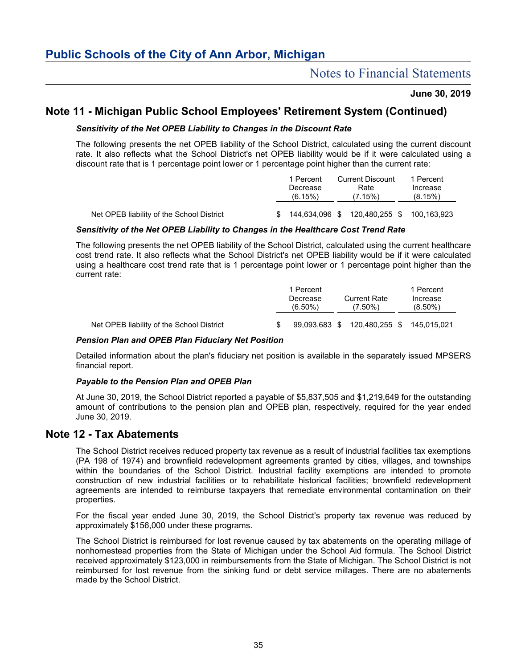### **June 30, 2019**

# **Note 11 - Michigan Public School Employees' Retirement System (Continued)**

### *Sensitivity of the Net OPEB Liability to Changes in the Discount Rate*

The following presents the net OPEB liability of the School District, calculated using the current discount rate. It also reflects what the School District's net OPEB liability would be if it were calculated using a discount rate that is 1 percentage point lower or 1 percentage point higher than the current rate:

|                                           | 1 Percent<br>Decrease<br>(6.15%) | <b>Current Discount</b><br>Rate<br>(7.15%) | 1 Percent<br>Increase<br>(8.15%) |
|-------------------------------------------|----------------------------------|--------------------------------------------|----------------------------------|
| Net OPEB liability of the School District | 144,634,096 \$                   | 120,480,255 \$ 100,163,923                 |                                  |

### *Sensitivity of the Net OPEB Liability to Changes in the Healthcare Cost Trend Rate*

The following presents the net OPEB liability of the School District, calculated using the current healthcare cost trend rate. It also reflects what the School District's net OPEB liability would be if it were calculated using a healthcare cost trend rate that is 1 percentage point lower or 1 percentage point higher than the current rate:

|                                           | 1 Percent |               |  | 1 Percent           |             |  |
|-------------------------------------------|-----------|---------------|--|---------------------|-------------|--|
|                                           |           | Decrease      |  | <b>Current Rate</b> | Increase    |  |
|                                           |           | $(6.50\%)$    |  | $(7.50\%)$          | $(8.50\%)$  |  |
|                                           |           |               |  |                     |             |  |
| Net OPEB liability of the School District |           | 99.093.683 \$ |  | 120,480,255 \$      | 145,015,021 |  |

#### *Pension Plan and OPEB Plan Fiduciary Net Position*

Detailed information about the plan's fiduciary net position is available in the separately issued MPSERS financial report.

#### *Payable to the Pension Plan and OPEB Plan*

At June 30, 2019, the School District reported a payable of \$5,837,505 and \$1,219,649 for the outstanding amount of contributions to the pension plan and OPEB plan, respectively, required for the year ended June 30, 2019.

## **Note 12 - Tax Abatements**

The School District receives reduced property tax revenue as a result of industrial facilities tax exemptions (PA 198 of 1974) and brownfield redevelopment agreements granted by cities, villages, and townships within the boundaries of the School District. Industrial facility exemptions are intended to promote construction of new industrial facilities or to rehabilitate historical facilities; brownfield redevelopment agreements are intended to reimburse taxpayers that remediate environmental contamination on their properties.

For the fiscal year ended June 30, 2019, the School District's property tax revenue was reduced by approximately \$156,000 under these programs.

The School District is reimbursed for lost revenue caused by tax abatements on the operating millage of nonhomestead properties from the State of Michigan under the School Aid formula. The School District received approximately \$123,000 in reimbursements from the State of Michigan. The School District is not reimbursed for lost revenue from the sinking fund or debt service millages. There are no abatements made by the School District.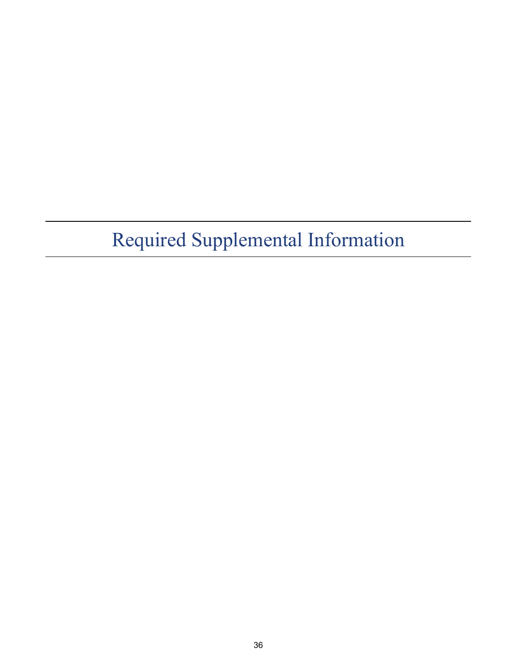# Required Supplemental Information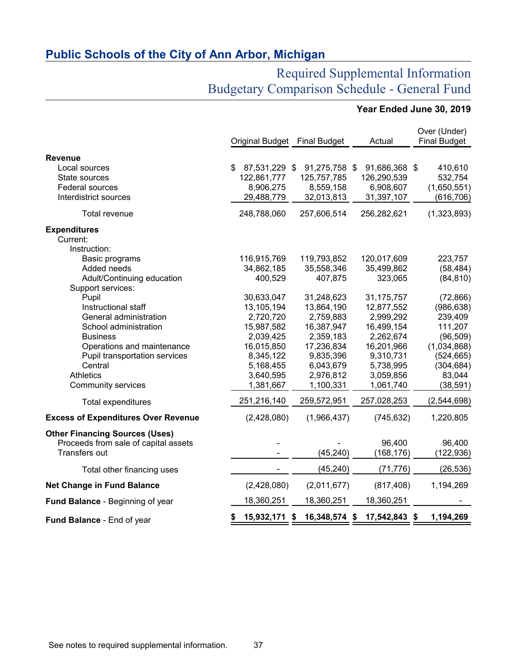# Required Supplemental Information Budgetary Comparison Schedule - General Fund

# **Year Ended June 30, 2019**

|                                            |                        |                     |                     | Over (Under)        |
|--------------------------------------------|------------------------|---------------------|---------------------|---------------------|
|                                            | <b>Original Budget</b> | <b>Final Budget</b> | Actual              | <b>Final Budget</b> |
| <b>Revenue</b>                             |                        |                     |                     |                     |
| Local sources                              | 87,531,229 \$<br>\$    | 91,275,758 \$       | 91,686,368 \$       | 410,610             |
| State sources                              | 122,861,777            | 125,757,785         | 126,290,539         | 532,754             |
| Federal sources                            | 8,906,275              | 8,559,158           | 6,908,607           | (1,650,551)         |
| Interdistrict sources                      | 29,488,779             | 32,013,813          | 31,397,107          | (616, 706)          |
| Total revenue                              | 248,788,060            | 257,606,514         | 256,282,621         | (1,323,893)         |
| <b>Expenditures</b>                        |                        |                     |                     |                     |
| Current:                                   |                        |                     |                     |                     |
| Instruction:                               |                        |                     |                     |                     |
| Basic programs                             | 116,915,769            | 119,793,852         | 120,017,609         | 223,757             |
| Added needs                                | 34,862,185             | 35,558,346          | 35,499,862          | (58, 484)           |
| Adult/Continuing education                 | 400,529                | 407,875             | 323,065             | (84, 810)           |
| Support services:<br>Pupil                 | 30,633,047             | 31,248,623          | 31,175,757          | (72, 866)           |
| Instructional staff                        | 13,105,194             | 13,864,190          | 12,877,552          | (986, 638)          |
| General administration                     | 2,720,720              | 2,759,883           | 2,999,292           | 239,409             |
| School administration                      | 15,987,582             | 16,387,947          | 16,499,154          | 111,207             |
| <b>Business</b>                            | 2,039,425              | 2,359,183           | 2,262,674           | (96, 509)           |
| Operations and maintenance                 | 16,015,850             | 17,236,834          | 16,201,966          | (1,034,868)         |
| Pupil transportation services              | 8,345,122              | 9,835,396           | 9,310,731           | (524, 665)          |
| Central                                    | 5,168,455              | 6,043,679           | 5,738,995           | (304, 684)          |
| <b>Athletics</b>                           | 3,640,595              | 2,976,812           | 3,059,856           | 83,044              |
| <b>Community services</b>                  | 1,381,667              | 1,100,331           | 1,061,740           | (38, 591)           |
| Total expenditures                         | 251,216,140            | 259,572,951         | 257,028,253         | (2,544,698)         |
| <b>Excess of Expenditures Over Revenue</b> | (2,428,080)            | (1,966,437)         | (745, 632)          | 1,220,805           |
| <b>Other Financing Sources (Uses)</b>      |                        |                     |                     |                     |
| Proceeds from sale of capital assets       |                        |                     | 96,400              | 96,400              |
| Transfers out                              |                        | (45, 240)           | (168, 176)          | (122,936)           |
| Total other financing uses                 |                        | (45, 240)           | (71, 776)           | (26, 536)           |
| <b>Net Change in Fund Balance</b>          | (2,428,080)            | (2,011,677)         | (817, 408)          | 1,194,269           |
| Fund Balance - Beginning of year           | 18,360,251             | 18,360,251          | 18,360,251          |                     |
| Fund Balance - End of year                 | 15,932,171 \$<br>\$    | 16,348,574          | 17,542,843 \$<br>\$ | 1,194,269           |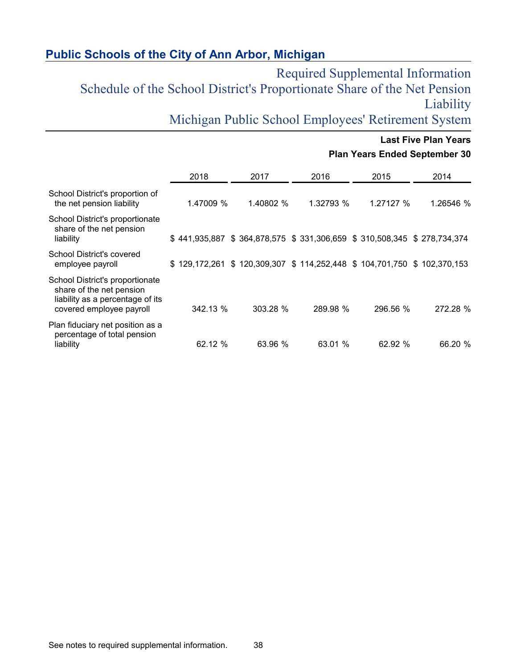Required Supplemental Information Schedule of the School District's Proportionate Share of the Net Pension Liability

Michigan Public School Employees' Retirement System

|                                                                                                                             |           |           |                                                                       | <b>Plan Years Ended September 30</b> | <b>Last Five Plan Years</b> |
|-----------------------------------------------------------------------------------------------------------------------------|-----------|-----------|-----------------------------------------------------------------------|--------------------------------------|-----------------------------|
|                                                                                                                             | 2018      | 2017      | 2016                                                                  | 2015                                 | 2014                        |
| School District's proportion of<br>the net pension liability                                                                | 1.47009 % | 1.40802 % | 1.32793 %                                                             | 1.27127 %                            | 1.26546 %                   |
| School District's proportionate<br>share of the net pension<br>liability                                                    |           |           | \$441,935,887 \$364,878,575 \$331,306,659 \$310,508,345 \$278,734,374 |                                      |                             |
| School District's covered<br>employee payroll                                                                               |           |           | \$129,172,261 \$120,309,307 \$114,252,448 \$104,701,750 \$102,370,153 |                                      |                             |
| School District's proportionate<br>share of the net pension<br>liability as a percentage of its<br>covered employee payroll | 342.13 %  | 303.28 %  | 289.98 %                                                              | 296.56 %                             | 272.28 %                    |
| Plan fiduciary net position as a<br>percentage of total pension<br>liability                                                | 62.12 %   | 63.96 %   | 63.01 %                                                               | 62.92 %                              | 66.20 %                     |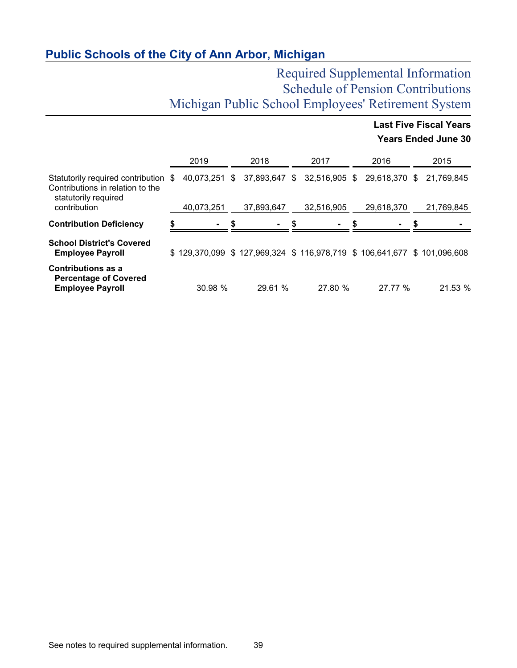# Required Supplemental Information Schedule of Pension Contributions Michigan Public School Employees' Retirement System

**Last Five Fiscal Years**

|                                                                                                  |            |                                                                       |            |               | <b>Years Ended June 30</b> |
|--------------------------------------------------------------------------------------------------|------------|-----------------------------------------------------------------------|------------|---------------|----------------------------|
|                                                                                                  | 2019       | 2018                                                                  | 2017       | 2016          | 2015                       |
| Statutorily required contribution \$<br>Contributions in relation to the<br>statutorily required |            | 40,073,251 \$ 37,893,647 \$ 32,516,905 \$                             |            | 29,618,370 \$ | 21,769,845                 |
| contribution                                                                                     | 40,073,251 | 37,893,647                                                            | 32,516,905 | 29,618,370    | 21,769,845                 |
| <b>Contribution Deficiency</b>                                                                   |            |                                                                       |            |               |                            |
| <b>School District's Covered</b><br><b>Employee Payroll</b>                                      |            | \$129,370,099 \$127,969,324 \$116,978,719 \$106,641,677 \$101,096,608 |            |               |                            |
| <b>Contributions as a</b><br><b>Percentage of Covered</b><br><b>Employee Payroll</b>             | 30.98 %    | 29.61 %                                                               | 27.80 %    | 27.77 %       | 21.53 %                    |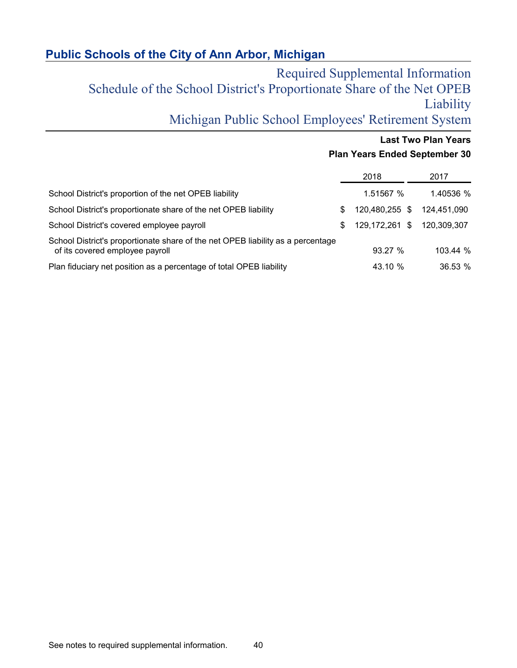Required Supplemental Information Schedule of the School District's Proportionate Share of the Net OPEB Liability

Michigan Public School Employees' Retirement System

# **Last Two Plan Years Plan Years Ended September 30**

|                                                                                                                    |     | 2018           | 2017        |
|--------------------------------------------------------------------------------------------------------------------|-----|----------------|-------------|
| School District's proportion of the net OPEB liability                                                             |     | 1.51567 %      | 1.40536 %   |
| School District's proportionate share of the net OPEB liability                                                    | \$. | 120.480.255 \$ | 124.451.090 |
| School District's covered employee payroll                                                                         | \$. | 129,172,261 \$ | 120.309.307 |
| School District's proportionate share of the net OPEB liability as a percentage<br>of its covered employee payroll |     | 93.27%         | 103.44 %    |
| Plan fiduciary net position as a percentage of total OPEB liability                                                |     | 43.10 %        | 36.53 %     |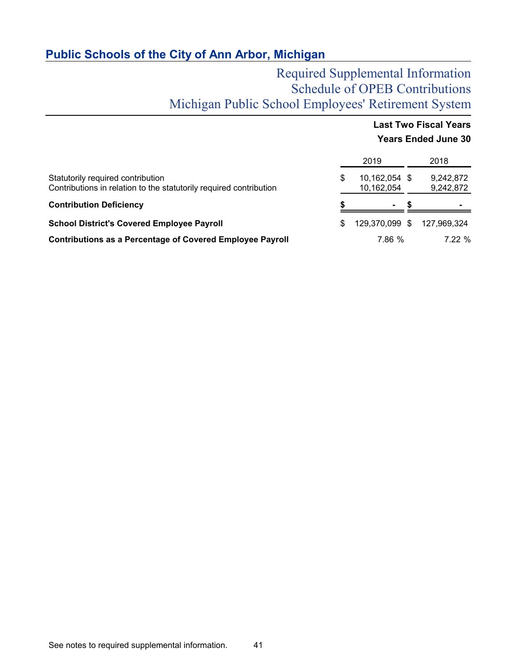# Required Supplemental Information Schedule of OPEB Contributions Michigan Public School Employees' Retirement System

# **Last Two Fiscal Years Years Ended June 30**

|                                                                                                         |     | 2019                        | 2018                   |
|---------------------------------------------------------------------------------------------------------|-----|-----------------------------|------------------------|
| Statutorily required contribution<br>Contributions in relation to the statutorily required contribution | \$. | 10,162,054 \$<br>10,162,054 | 9,242,872<br>9,242,872 |
| <b>Contribution Deficiency</b>                                                                          |     | $\sim$                      |                        |
| <b>School District's Covered Employee Payroll</b>                                                       | \$. | 129,370,099 \$              | 127,969,324            |
| <b>Contributions as a Percentage of Covered Employee Payroll</b>                                        |     | 7.86 %                      | 7.22%                  |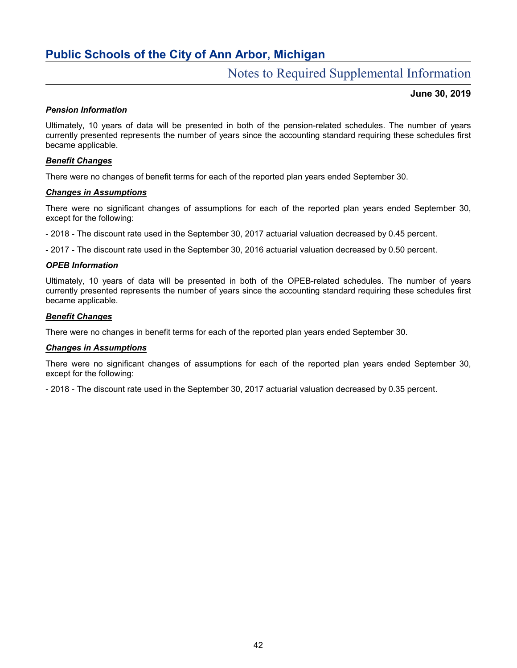# Notes to Required Supplemental Information

### **June 30, 2019**

#### *Pension Information*

Ultimately, 10 years of data will be presented in both of the pension-related schedules. The number of years currently presented represents the number of years since the accounting standard requiring these schedules first became applicable.

### *Benefit Changes*

There were no changes of benefit terms for each of the reported plan years ended September 30.

### *Changes in Assumptions*

There were no significant changes of assumptions for each of the reported plan years ended September 30, except for the following:

- 2018 - The discount rate used in the September 30, 2017 actuarial valuation decreased by 0.45 percent.

- 2017 - The discount rate used in the September 30, 2016 actuarial valuation decreased by 0.50 percent.

### *OPEB Information*

Ultimately, 10 years of data will be presented in both of the OPEB-related schedules. The number of years currently presented represents the number of years since the accounting standard requiring these schedules first became applicable.

### *Benefit Changes*

There were no changes in benefit terms for each of the reported plan years ended September 30.

#### *Changes in Assumptions*

There were no significant changes of assumptions for each of the reported plan years ended September 30, except for the following:

- 2018 - The discount rate used in the September 30, 2017 actuarial valuation decreased by 0.35 percent.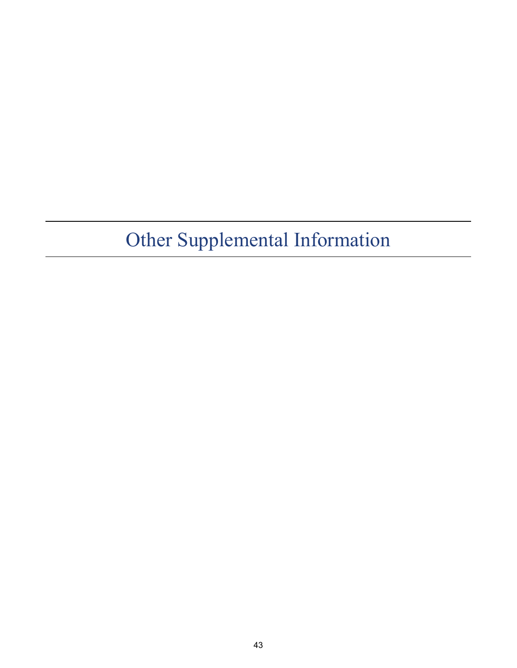# Other Supplemental Information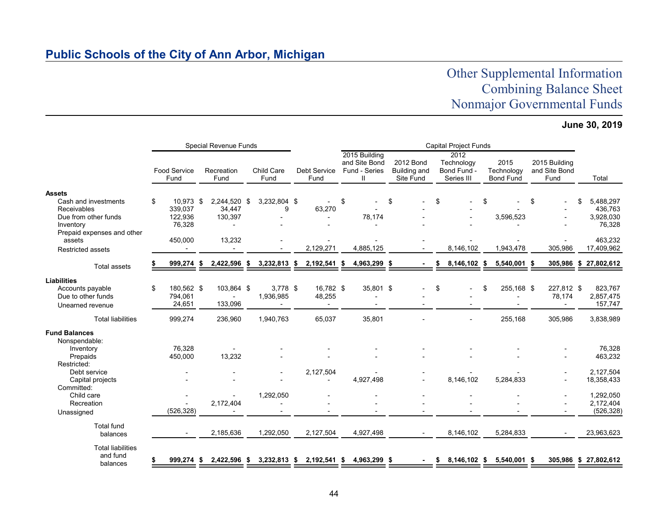# Other Supplemental Information Combining Balance Sheet Nonmajor Governmental Funds

# **June 30, 2019**

|                                                                                                                                   | <b>Special Revenue Funds</b> |                                                      |  |                                             |  |                                           |      |                                       |      | <b>Capital Project Funds</b>                         |    |                                               |    |                                                 |    |                                        |    |                                        |    |                                                        |
|-----------------------------------------------------------------------------------------------------------------------------------|------------------------------|------------------------------------------------------|--|---------------------------------------------|--|-------------------------------------------|------|---------------------------------------|------|------------------------------------------------------|----|-----------------------------------------------|----|-------------------------------------------------|----|----------------------------------------|----|----------------------------------------|----|--------------------------------------------------------|
|                                                                                                                                   |                              | Food Service<br>Fund                                 |  | Recreation<br>Fund                          |  | Child Care<br>Fund                        |      | Debt Service<br>Fund                  |      | 2015 Building<br>and Site Bond<br>Fund - Series<br>Ш |    | 2012 Bond<br><b>Building and</b><br>Site Fund |    | 2012<br>Technology<br>Bond Fund -<br>Series III |    | 2015<br>Technology<br><b>Bond Fund</b> |    | 2015 Building<br>and Site Bond<br>Fund |    | Total                                                  |
| <b>Assets</b><br>Cash and investments<br>Receivables<br>Due from other funds<br>Inventory<br>Prepaid expenses and other<br>assets | \$                           | 10,973 \$<br>339,037<br>122,936<br>76,328<br>450,000 |  | 2,244,520 \$<br>34.447<br>130,397<br>13,232 |  | 3,232,804 \$<br>9                         |      | 63,270                                | \$   | 78,174                                               | \$ |                                               | \$ |                                                 | \$ | 3,596,523                              | \$ |                                        | \$ | 5,488,297<br>436,763<br>3,928,030<br>76,328<br>463,232 |
| <b>Restricted assets</b>                                                                                                          |                              |                                                      |  |                                             |  |                                           |      | 2,129,271                             |      | 4,885,125                                            |    |                                               |    | 8.146.102                                       |    | 1,943,478                              |    | 305,986                                |    | 17,409,962                                             |
| <b>Total assets</b>                                                                                                               |                              | 999,274 \$                                           |  | 2,422,596 \$                                |  | 3,232,813 \$                              |      | 2,192,541 \$                          |      | 4,963,299 \$                                         |    |                                               | S  | 8,146,102 \$                                    |    | 5,540,001 \$                           |    |                                        |    | 305,986 \$ 27,802,612                                  |
| <b>Liabilities</b><br>Accounts payable<br>Due to other funds<br>Unearned revenue                                                  | \$                           | 180,562 \$<br>794,061<br>24,651                      |  | 103,864 \$<br>133,096                       |  | $3,778$ \$<br>1,936,985<br>$\overline{a}$ |      | 16,782 \$<br>48,255<br>$\blacksquare$ |      | 35,801 \$<br>$\blacksquare$                          |    |                                               | \$ |                                                 | \$ | 255,168 \$                             |    | 227,812 \$<br>78,174<br>$\blacksquare$ |    | 823,767<br>2,857,475<br>157,747                        |
| <b>Total liabilities</b>                                                                                                          |                              | 999,274                                              |  | 236,960                                     |  | 1,940,763                                 |      | 65,037                                |      | 35,801                                               |    |                                               |    |                                                 |    | 255,168                                |    | 305,986                                |    | 3,838,989                                              |
| <b>Fund Balances</b><br>Nonspendable:<br>Inventory<br>Prepaids<br>Restricted:<br>Debt service                                     |                              | 76,328<br>450,000                                    |  | 13,232                                      |  |                                           |      | 2,127,504                             |      |                                                      |    |                                               |    |                                                 |    |                                        |    |                                        |    | 76,328<br>463,232<br>2,127,504                         |
| Capital projects<br>Committed:                                                                                                    |                              |                                                      |  |                                             |  |                                           |      |                                       |      | 4,927,498                                            |    |                                               |    | 8.146.102                                       |    | 5,284,833                              |    |                                        |    | 18,358,433                                             |
| Child care<br>Recreation<br>Unassigned                                                                                            |                              | (526, 328)                                           |  | 2,172,404                                   |  | 1,292,050                                 |      |                                       |      |                                                      |    |                                               |    |                                                 |    |                                        |    |                                        |    | 1,292,050<br>2,172,404<br>(526, 328)                   |
| <b>Total fund</b><br>balances                                                                                                     |                              |                                                      |  | 2,185,636                                   |  | 1,292,050                                 |      | 2,127,504                             |      | 4,927,498                                            |    |                                               |    | 8,146,102                                       |    | 5,284,833                              |    |                                        |    | 23,963,623                                             |
| <b>Total liabilities</b><br>and fund<br>balances                                                                                  |                              | 999,274 \$                                           |  | 2,422,596 \$                                |  | 3,232,813                                 | - \$ | 2,192,541                             | - \$ | 4,963,299 \$                                         |    |                                               | S  | 8,146,102 \$                                    |    | 5,540,001 \$                           |    |                                        |    | 305,986 \$ 27,802,612                                  |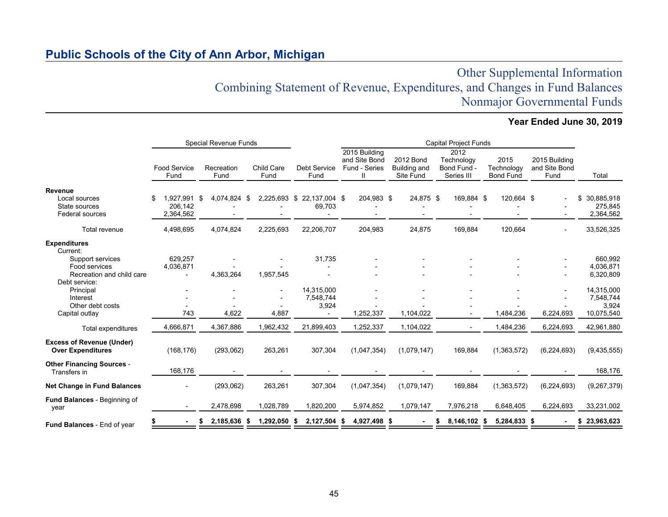# Other Supplemental Information Combining Statement of Revenue, Expenditures, and Changes in Fund Balances Nonmajor Governmental Funds

# **Year Ended June 30, 2019**

|                                                                      |                                   | <b>Special Revenue Funds</b> |                          |                                  | <b>Capital Project Funds</b>                    |                                               |                                                 |                                        |                                        |                                          |  |  |  |  |
|----------------------------------------------------------------------|-----------------------------------|------------------------------|--------------------------|----------------------------------|-------------------------------------------------|-----------------------------------------------|-------------------------------------------------|----------------------------------------|----------------------------------------|------------------------------------------|--|--|--|--|
|                                                                      | <b>Food Service</b><br>Fund       | Recreation<br>Fund           | Child Care<br>Fund       | Debt Service<br>Fund             | 2015 Building<br>and Site Bond<br>Fund - Series | 2012 Bond<br><b>Building and</b><br>Site Fund | 2012<br>Technology<br>Bond Fund -<br>Series III | 2015<br>Technology<br><b>Bond Fund</b> | 2015 Building<br>and Site Bond<br>Fund | Total                                    |  |  |  |  |
| Revenue<br>Local sources<br>State sources<br><b>Federal sources</b>  | 1.927.991<br>206.142<br>2,364,562 | 4,074,824 \$<br>-\$          | 2,225,693 \$             | 22,137,004 \$<br>69,703          | 204,983 \$                                      | 24,875 \$                                     | 169,884 \$                                      | 120,664 \$                             |                                        | 30,885,918<br>\$<br>275,845<br>2,364,562 |  |  |  |  |
| Total revenue                                                        | 4,498,695                         | 4,074,824                    | 2,225,693                | 22,206,707                       | 204,983                                         | 24,875                                        | 169,884                                         | 120,664                                |                                        | 33,526,325                               |  |  |  |  |
| <b>Expenditures</b><br>Current:<br>Support services<br>Food services | 629,257                           |                              |                          | 31,735                           |                                                 |                                               |                                                 |                                        |                                        | 660,992<br>4,036,871                     |  |  |  |  |
| Recreation and child care<br>Debt service:                           | 4,036,871<br>$\blacksquare$       | 4,363,264                    | 1,957,545                |                                  |                                                 |                                               |                                                 |                                        |                                        | 6,320,809                                |  |  |  |  |
| Principal<br>Interest<br>Other debt costs                            |                                   |                              | $\overline{\phantom{0}}$ | 14.315.000<br>7,548,744<br>3,924 |                                                 |                                               |                                                 |                                        |                                        | 14,315,000<br>7,548,744<br>3,924         |  |  |  |  |
| Capital outlay                                                       | 743                               | 4,622                        | 4,887                    |                                  | 1,252,337                                       | 1,104,022                                     |                                                 | 1,484,236                              | 6,224,693                              | 10,075,540                               |  |  |  |  |
| Total expenditures                                                   | 4,666,871                         | 4,367,886                    | 1,962,432                | 21,899,403                       | 1,252,337                                       | 1,104,022                                     |                                                 | 1,484,236                              | 6,224,693                              | 42,961,880                               |  |  |  |  |
| <b>Excess of Revenue (Under)</b><br><b>Over Expenditures</b>         | (168, 176)                        | (293,062)                    | 263,261                  | 307,304                          | (1,047,354)                                     | (1,079,147)                                   | 169,884                                         | (1,363,572)                            | (6, 224, 693)                          | (9,435,555)                              |  |  |  |  |
| <b>Other Financing Sources -</b><br>Transfers in                     | 168,176                           |                              |                          |                                  |                                                 |                                               |                                                 |                                        |                                        | 168,176                                  |  |  |  |  |
| <b>Net Change in Fund Balances</b>                                   |                                   | (293,062)                    | 263,261                  | 307,304                          | (1,047,354)                                     | (1,079,147)                                   | 169,884                                         | (1,363,572)                            | (6, 224, 693)                          | (9,267,379)                              |  |  |  |  |
| <b>Fund Balances - Beginning of</b><br>year                          |                                   | 2,478,698                    | 1,028,789                | 1,820,200                        | 5,974,852                                       | 1,079,147                                     | 7,976,218                                       | 6,648,405                              | 6,224,693                              | 33,231,002                               |  |  |  |  |
| <b>Fund Balances - End of year</b>                                   |                                   | 2,185,636 \$                 | 1,292,050                | 2,127,504 \$<br>- 56             | 4,927,498 \$                                    |                                               | 8,146,102 \$                                    | 5,284,833 \$                           |                                        | 23,963,623<br>\$                         |  |  |  |  |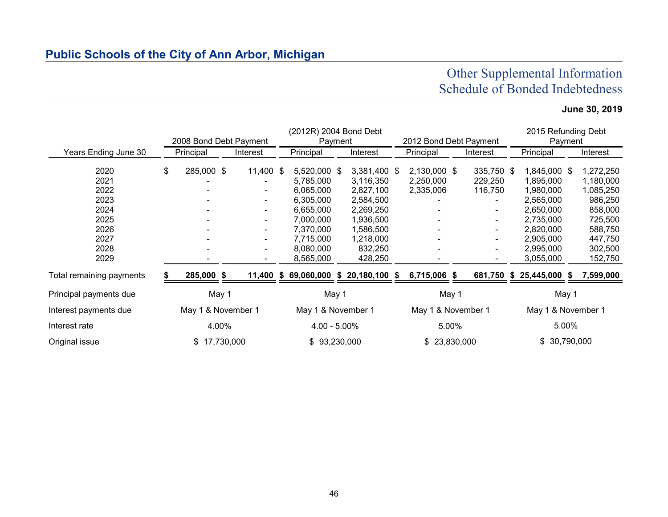# Other Supplemental Information Schedule of Bonded Indebtedness

# **June 30, 2019**

|                                                              | 2008 Bond Debt Payment |                                             | (2012R) 2004 Bond Debt<br>Payment                                                                       |                                                                                                         | 2012 Bond Debt Payment |                                        |       |                                                              |  | 2015 Refunding Debt<br>Payment                                                                          |  |                                                                                            |  |
|--------------------------------------------------------------|------------------------|---------------------------------------------|---------------------------------------------------------------------------------------------------------|---------------------------------------------------------------------------------------------------------|------------------------|----------------------------------------|-------|--------------------------------------------------------------|--|---------------------------------------------------------------------------------------------------------|--|--------------------------------------------------------------------------------------------|--|
| Years Ending June 30                                         | Principal              | Interest                                    | Principal                                                                                               | Interest                                                                                                |                        | Principal                              |       | Interest                                                     |  | Principal                                                                                               |  | Interest                                                                                   |  |
| 2020<br>2021<br>2022<br>2023<br>2024<br>2025<br>2026<br>2027 | \$<br>285,000 \$       | 11,400 \$<br>۰.<br>$\overline{\phantom{a}}$ | 5,520,000 \$<br>5,785,000<br>6,065,000<br>6,305,000<br>6,655,000<br>7,000,000<br>7,370,000<br>7,715,000 | 3,381,400 \$<br>3,116,350<br>2,827,100<br>2,584,500<br>2,269,250<br>1,936,500<br>1,586,500<br>1,218,000 |                        | 2,130,000 \$<br>2,250,000<br>2,335,006 |       | 335,750 \$<br>229,250<br>116,750<br>$\sim$<br>$\blacksquare$ |  | 1,845,000 \$<br>1,895,000<br>1,980,000<br>2,565,000<br>2,650,000<br>2,735,000<br>2,820,000<br>2,905,000 |  | 1,272,250<br>1,180,000<br>1,085,250<br>986,250<br>858,000<br>725,500<br>588,750<br>447,750 |  |
| 2028<br>2029                                                 |                        |                                             | 8,080,000<br>8,565,000                                                                                  | 832,250<br>428,250                                                                                      |                        |                                        |       |                                                              |  | 2,995,000<br>3,055,000                                                                                  |  | 302,500<br>152,750                                                                         |  |
| Total remaining payments                                     | 285,000 \$             |                                             | 11,400 \$ 69,060,000 \$ 20,180,100 \$                                                                   |                                                                                                         |                        | 6,715,006 \$                           |       | 681,750                                                      |  | $$25,445,000$ \$                                                                                        |  | 7,599,000                                                                                  |  |
| Principal payments due                                       | May 1                  |                                             | May 1                                                                                                   |                                                                                                         |                        |                                        | May 1 |                                                              |  | May 1                                                                                                   |  |                                                                                            |  |
| Interest payments due                                        | May 1 & November 1     |                                             | May 1 & November 1                                                                                      |                                                                                                         |                        | May 1 & November 1                     |       |                                                              |  | May 1 & November 1                                                                                      |  |                                                                                            |  |
| Interest rate                                                | 4.00%                  |                                             | $4.00 - 5.00\%$                                                                                         |                                                                                                         |                        |                                        | 5.00% |                                                              |  | 5.00%                                                                                                   |  |                                                                                            |  |
| Original issue                                               | \$17,730,000           |                                             | \$93,230,000                                                                                            |                                                                                                         |                        | 23,830,000<br>\$                       |       |                                                              |  | \$ 30,790,000                                                                                           |  |                                                                                            |  |